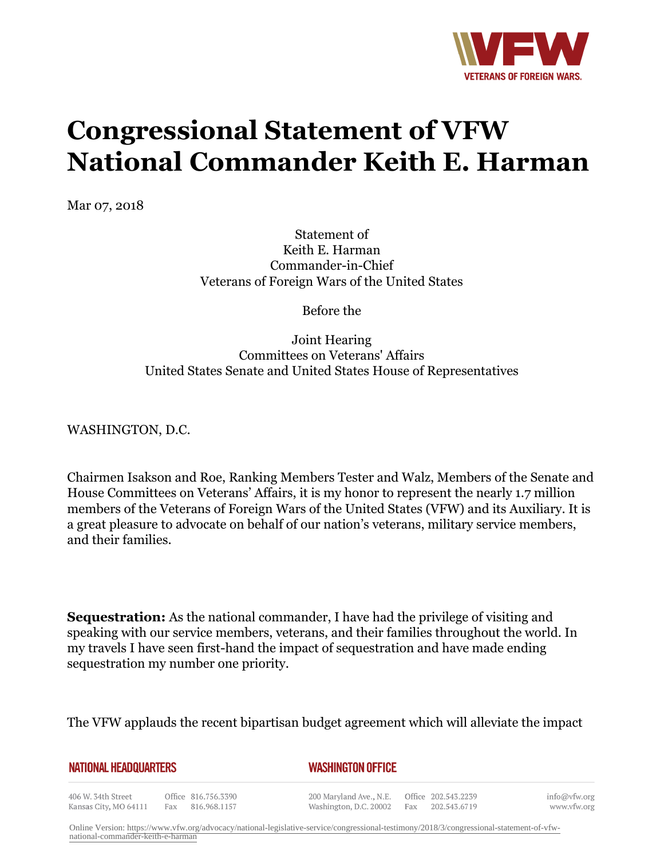

## **Congressional Statement of VFW National Commander Keith E. Harman**

Mar 07, 2018

Statement of Keith E. Harman Commander-in-Chief Veterans of Foreign Wars of the United States

Before the

## Joint Hearing Committees on Veterans' Affairs United States Senate and United States House of Representatives

WASHINGTON, D.C.

Chairmen Isakson and Roe, Ranking Members Tester and Walz, Members of the Senate and House Committees on Veterans' Affairs, it is my honor to represent the nearly 1.7 million members of the Veterans of Foreign Wars of the United States (VFW) and its Auxiliary. It is a great pleasure to advocate on behalf of our nation's veterans, military service members, and their families.

**Sequestration:** As the national commander, I have had the privilege of visiting and speaking with our service members, veterans, and their families throughout the world. In my travels I have seen first-hand the impact of sequestration and have made ending sequestration my number one priority.

The VFW applauds the recent bipartisan budget agreement which will alleviate the impact

**NATIONAL HEADQUARTERS** 

## *WASHINGTON OFFICE*

406 W. 34th Street Office 816.756.3390 Kansas City, MO 64111 Fax 816.968.1157

200 Maryland Ave., N.E. Washington, D.C. 20002 Fax 202.543.6719

Office 202.543.2239

info@vfw.org www.vfw.org

Online Version: [https://www.vfw.org/advocacy/national-legislative-service/congressional-testimony/2018/3/congressional-statement-of-vfw](https://www.vfw.org/advocacy/national-legislative-service/congressional-testimony/2018/3/congressional-statement-of-vfw-national-commander-keith-e-harman)[national-commander-keith-e-harman](https://www.vfw.org/advocacy/national-legislative-service/congressional-testimony/2018/3/congressional-statement-of-vfw-national-commander-keith-e-harman)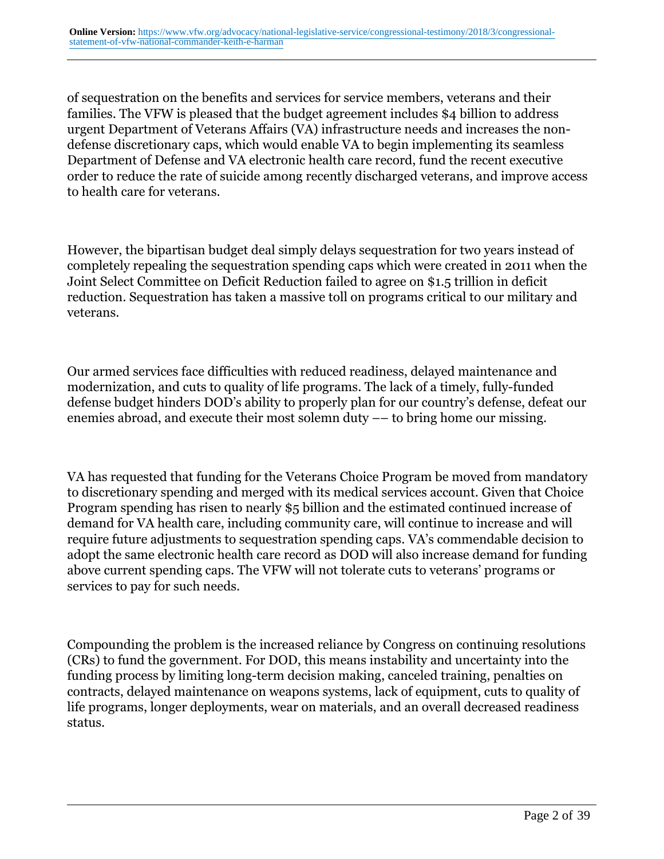of sequestration on the benefits and services for service members, veterans and their families. The VFW is pleased that the budget agreement includes \$4 billion to address urgent Department of Veterans Affairs (VA) infrastructure needs and increases the nondefense discretionary caps, which would enable VA to begin implementing its seamless Department of Defense and VA electronic health care record, fund the recent executive order to reduce the rate of suicide among recently discharged veterans, and improve access to health care for veterans.

However, the bipartisan budget deal simply delays sequestration for two years instead of completely repealing the sequestration spending caps which were created in 2011 when the Joint Select Committee on Deficit Reduction failed to agree on \$1.5 trillion in deficit reduction. Sequestration has taken a massive toll on programs critical to our military and veterans.

Our armed services face difficulties with reduced readiness, delayed maintenance and modernization, and cuts to quality of life programs. The lack of a timely, fully-funded defense budget hinders DOD's ability to properly plan for our country's defense, defeat our enemies abroad, and execute their most solemn duty –– to bring home our missing.

VA has requested that funding for the Veterans Choice Program be moved from mandatory to discretionary spending and merged with its medical services account. Given that Choice Program spending has risen to nearly \$5 billion and the estimated continued increase of demand for VA health care, including community care, will continue to increase and will require future adjustments to sequestration spending caps. VA's commendable decision to adopt the same electronic health care record as DOD will also increase demand for funding above current spending caps. The VFW will not tolerate cuts to veterans' programs or services to pay for such needs.

Compounding the problem is the increased reliance by Congress on continuing resolutions (CRs) to fund the government. For DOD, this means instability and uncertainty into the funding process by limiting long-term decision making, canceled training, penalties on contracts, delayed maintenance on weapons systems, lack of equipment, cuts to quality of life programs, longer deployments, wear on materials, and an overall decreased readiness status.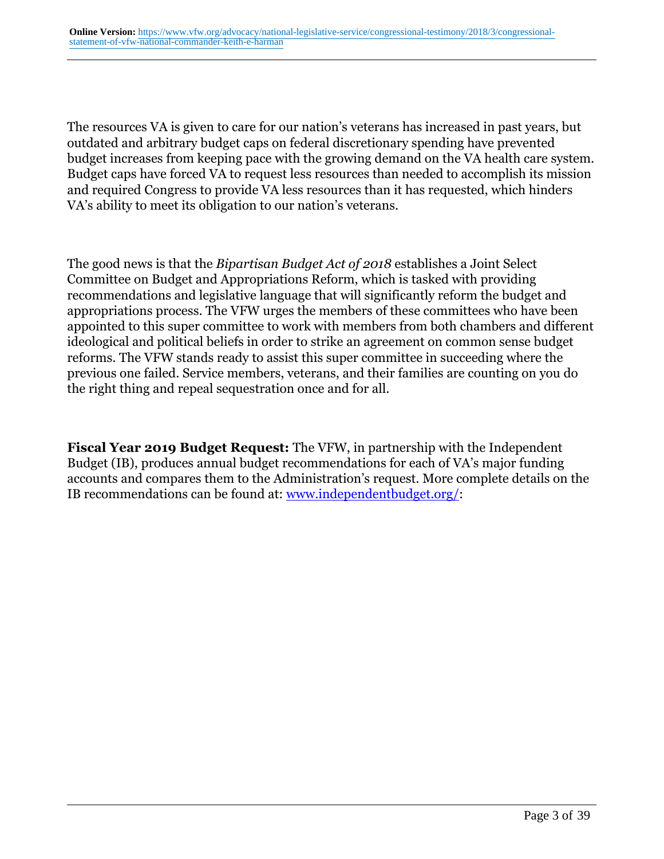The resources VA is given to care for our nation's veterans has increased in past years, but outdated and arbitrary budget caps on federal discretionary spending have prevented budget increases from keeping pace with the growing demand on the VA health care system. Budget caps have forced VA to request less resources than needed to accomplish its mission and required Congress to provide VA less resources than it has requested, which hinders VA's ability to meet its obligation to our nation's veterans.

The good news is that the *Bipartisan Budget Act of 2018* establishes a Joint Select Committee on Budget and Appropriations Reform, which is tasked with providing recommendations and legislative language that will significantly reform the budget and appropriations process. The VFW urges the members of these committees who have been appointed to this super committee to work with members from both chambers and different ideological and political beliefs in order to strike an agreement on common sense budget reforms. The VFW stands ready to assist this super committee in succeeding where the previous one failed. Service members, veterans, and their families are counting on you do the right thing and repeal sequestration once and for all.

**Fiscal Year 2019 Budget Request:** The VFW, in partnership with the Independent Budget (IB), produces annual budget recommendations for each of VA's major funding accounts and compares them to the Administration's request. More complete details on the IB recommendations can be found at: [www.independentbudget.org/:](http:http://www.independentbudget.org/)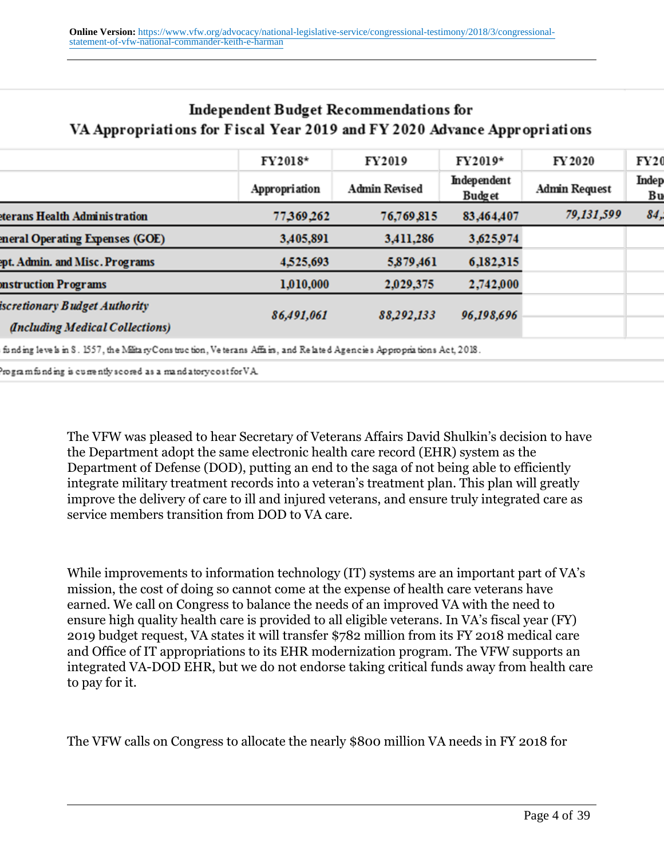| $\frac{1}{2}$ . The state of the state $\frac{1}{2}$ is the state of the state $\frac{1}{2}$ in the state of $\frac{1}{2}$ is the state of $\frac{1}{2}$ |               |                      |                       |                      |             |
|----------------------------------------------------------------------------------------------------------------------------------------------------------|---------------|----------------------|-----------------------|----------------------|-------------|
|                                                                                                                                                          | FY2018*       | FY2019               | FY2019*               | FY 2020              | FY20        |
|                                                                                                                                                          | Appropriation | <b>Admin Revised</b> | Independent<br>Budget | <b>Admin Request</b> | Indep<br>Bu |
| <b>eterans Health Adminis tration</b>                                                                                                                    | 77,369,262    | 76,769,815           | 83,464,407            | 79,131,599           | 84,         |
| eneral Operating Expenses (GOE)                                                                                                                          | 3,405,891     | 3,411,286            | 3,625,974             |                      |             |
| ept. Admin. and Misc. Programs                                                                                                                           | 4,525,693     | 5,879,461            | 6,182,315             |                      |             |
| onstruction Programs                                                                                                                                     | 1,010,000     | 2,029,375            | 2,742,000             |                      |             |
| iscretionary Budget Authority                                                                                                                            | 86,491,061    | 88,292,133           | 96,198,696            |                      |             |
| (Including Medical Collections)                                                                                                                          |               |                      |                       |                      |             |
|                                                                                                                                                          |               |                      |                       |                      |             |

## **Independent Budget Recommendations for** VA Appropriations for Fiscal Year 2019 and FV 2020 Advance Appropriations

funding levels in S. 1557, the MilitaryConstruction, Veterans Affairs, and Related Agencies Appropriations Act, 2018.

 $P$ rogram funding is currently scored as a mand atory cost for  $VA$ 

The VFW was pleased to hear Secretary of Veterans Affairs David Shulkin's decision to have the Department adopt the same electronic health care record (EHR) system as the Department of Defense (DOD), putting an end to the saga of not being able to efficiently integrate military treatment records into a veteran's treatment plan. This plan will greatly improve the delivery of care to ill and injured veterans, and ensure truly integrated care as service members transition from DOD to VA care.

While improvements to information technology (IT) systems are an important part of VA's mission, the cost of doing so cannot come at the expense of health care veterans have earned. We call on Congress to balance the needs of an improved VA with the need to ensure high quality health care is provided to all eligible veterans. In VA's fiscal year (FY) 2019 budget request, VA states it will transfer \$782 million from its FY 2018 medical care and Office of IT appropriations to its EHR modernization program. The VFW supports an integrated VA-DOD EHR, but we do not endorse taking critical funds away from health care to pay for it.

The VFW calls on Congress to allocate the nearly \$800 million VA needs in FY 2018 for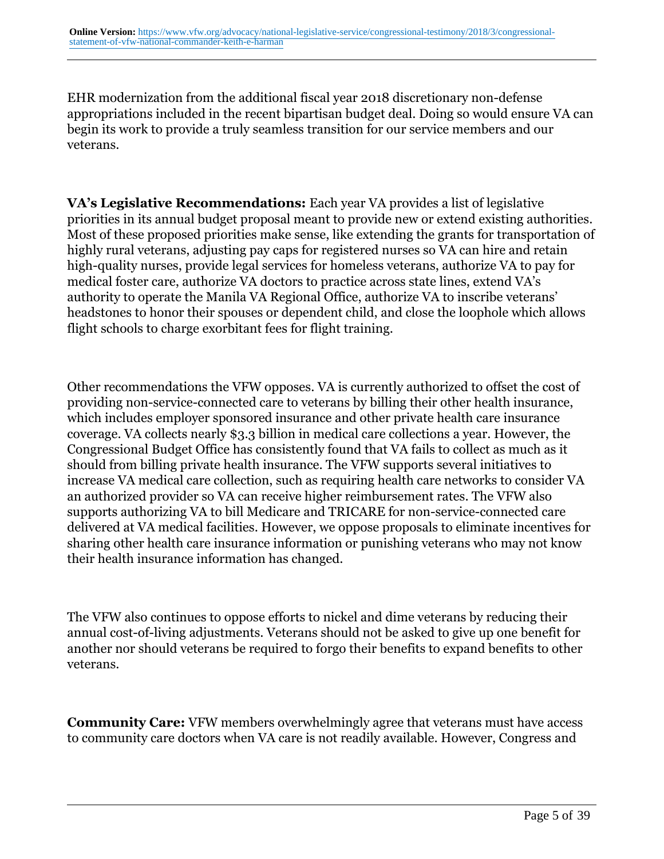EHR modernization from the additional fiscal year 2018 discretionary non-defense appropriations included in the recent bipartisan budget deal. Doing so would ensure VA can begin its work to provide a truly seamless transition for our service members and our veterans.

**VA's Legislative Recommendations:** Each year VA provides a list of legislative priorities in its annual budget proposal meant to provide new or extend existing authorities. Most of these proposed priorities make sense, like extending the grants for transportation of highly rural veterans, adjusting pay caps for registered nurses so VA can hire and retain high-quality nurses, provide legal services for homeless veterans, authorize VA to pay for medical foster care, authorize VA doctors to practice across state lines, extend VA's authority to operate the Manila VA Regional Office, authorize VA to inscribe veterans' headstones to honor their spouses or dependent child, and close the loophole which allows flight schools to charge exorbitant fees for flight training.

Other recommendations the VFW opposes. VA is currently authorized to offset the cost of providing non-service-connected care to veterans by billing their other health insurance, which includes employer sponsored insurance and other private health care insurance coverage. VA collects nearly \$3.3 billion in medical care collections a year. However, the Congressional Budget Office has consistently found that VA fails to collect as much as it should from billing private health insurance. The VFW supports several initiatives to increase VA medical care collection, such as requiring health care networks to consider VA an authorized provider so VA can receive higher reimbursement rates. The VFW also supports authorizing VA to bill Medicare and TRICARE for non-service-connected care delivered at VA medical facilities. However, we oppose proposals to eliminate incentives for sharing other health care insurance information or punishing veterans who may not know their health insurance information has changed.

The VFW also continues to oppose efforts to nickel and dime veterans by reducing their annual cost-of-living adjustments. Veterans should not be asked to give up one benefit for another nor should veterans be required to forgo their benefits to expand benefits to other veterans.

**Community Care:** VFW members overwhelmingly agree that veterans must have access to community care doctors when VA care is not readily available. However, Congress and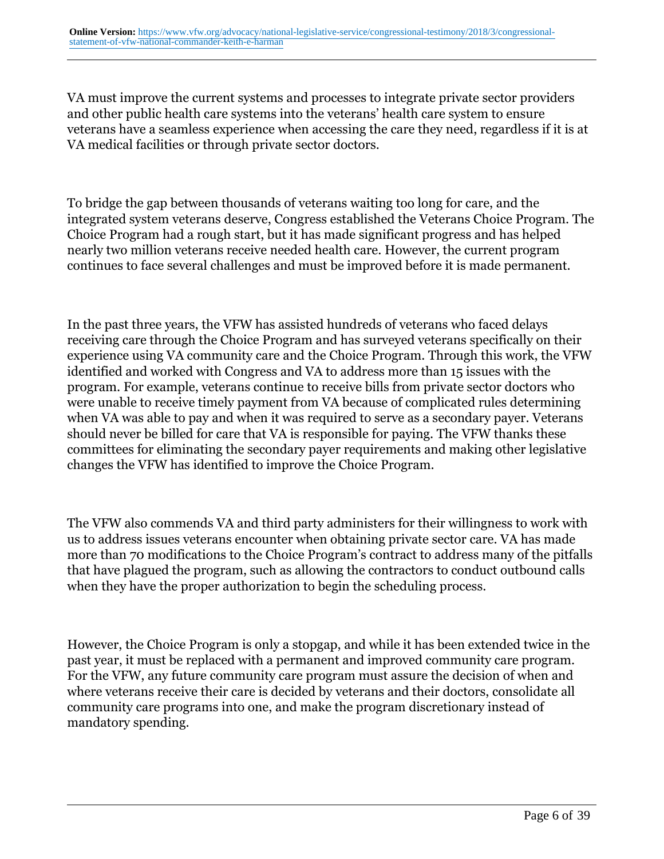VA must improve the current systems and processes to integrate private sector providers and other public health care systems into the veterans' health care system to ensure veterans have a seamless experience when accessing the care they need, regardless if it is at VA medical facilities or through private sector doctors.

To bridge the gap between thousands of veterans waiting too long for care, and the integrated system veterans deserve, Congress established the Veterans Choice Program. The Choice Program had a rough start, but it has made significant progress and has helped nearly two million veterans receive needed health care. However, the current program continues to face several challenges and must be improved before it is made permanent.

In the past three years, the VFW has assisted hundreds of veterans who faced delays receiving care through the Choice Program and has surveyed veterans specifically on their experience using VA community care and the Choice Program. Through this work, the VFW identified and worked with Congress and VA to address more than 15 issues with the program. For example, veterans continue to receive bills from private sector doctors who were unable to receive timely payment from VA because of complicated rules determining when VA was able to pay and when it was required to serve as a secondary payer. Veterans should never be billed for care that VA is responsible for paying. The VFW thanks these committees for eliminating the secondary payer requirements and making other legislative changes the VFW has identified to improve the Choice Program.

The VFW also commends VA and third party administers for their willingness to work with us to address issues veterans encounter when obtaining private sector care. VA has made more than 70 modifications to the Choice Program's contract to address many of the pitfalls that have plagued the program, such as allowing the contractors to conduct outbound calls when they have the proper authorization to begin the scheduling process.

However, the Choice Program is only a stopgap, and while it has been extended twice in the past year, it must be replaced with a permanent and improved community care program. For the VFW, any future community care program must assure the decision of when and where veterans receive their care is decided by veterans and their doctors, consolidate all community care programs into one, and make the program discretionary instead of mandatory spending.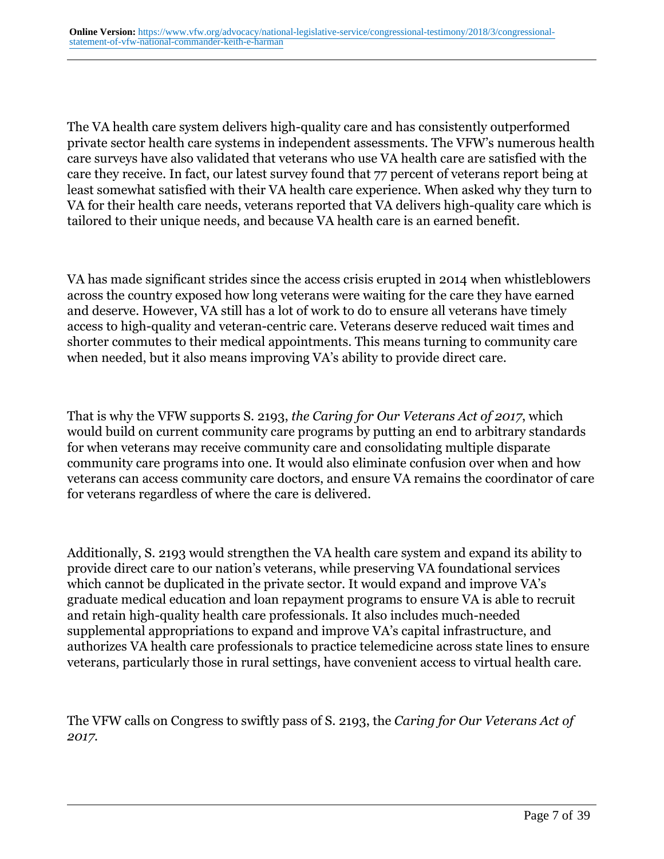The VA health care system delivers high-quality care and has consistently outperformed private sector health care systems in independent assessments. The VFW's numerous health care surveys have also validated that veterans who use VA health care are satisfied with the care they receive. In fact, our latest survey found that 77 percent of veterans report being at least somewhat satisfied with their VA health care experience. When asked why they turn to VA for their health care needs, veterans reported that VA delivers high-quality care which is tailored to their unique needs, and because VA health care is an earned benefit.

VA has made significant strides since the access crisis erupted in 2014 when whistleblowers across the country exposed how long veterans were waiting for the care they have earned and deserve. However, VA still has a lot of work to do to ensure all veterans have timely access to high-quality and veteran-centric care. Veterans deserve reduced wait times and shorter commutes to their medical appointments. This means turning to community care when needed, but it also means improving VA's ability to provide direct care.

That is why the VFW supports S. 2193, *the Caring for Our Veterans Act of 2017*, which would build on current community care programs by putting an end to arbitrary standards for when veterans may receive community care and consolidating multiple disparate community care programs into one. It would also eliminate confusion over when and how veterans can access community care doctors, and ensure VA remains the coordinator of care for veterans regardless of where the care is delivered.

Additionally, S. 2193 would strengthen the VA health care system and expand its ability to provide direct care to our nation's veterans, while preserving VA foundational services which cannot be duplicated in the private sector. It would expand and improve VA's graduate medical education and loan repayment programs to ensure VA is able to recruit and retain high-quality health care professionals. It also includes much-needed supplemental appropriations to expand and improve VA's capital infrastructure, and authorizes VA health care professionals to practice telemedicine across state lines to ensure veterans, particularly those in rural settings, have convenient access to virtual health care.

The VFW calls on Congress to swiftly pass of S. 2193, the *Caring for Our Veterans Act of 2017.*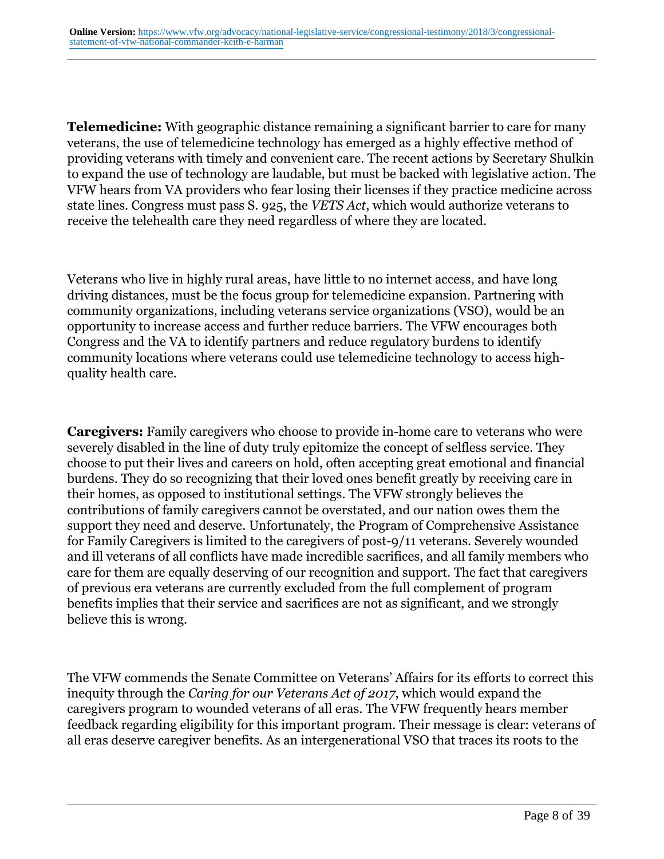**Telemedicine:** With geographic distance remaining a significant barrier to care for many veterans, the use of telemedicine technology has emerged as a highly effective method of providing veterans with timely and convenient care. The recent actions by Secretary Shulkin to expand the use of technology are laudable, but must be backed with legislative action. The VFW hears from VA providers who fear losing their licenses if they practice medicine across state lines. Congress must pass S. 925, the *VETS Act*, which would authorize veterans to receive the telehealth care they need regardless of where they are located.

Veterans who live in highly rural areas, have little to no internet access, and have long driving distances, must be the focus group for telemedicine expansion. Partnering with community organizations, including veterans service organizations (VSO), would be an opportunity to increase access and further reduce barriers. The VFW encourages both Congress and the VA to identify partners and reduce regulatory burdens to identify community locations where veterans could use telemedicine technology to access highquality health care.

**Caregivers:** Family caregivers who choose to provide in-home care to veterans who were severely disabled in the line of duty truly epitomize the concept of selfless service. They choose to put their lives and careers on hold, often accepting great emotional and financial burdens. They do so recognizing that their loved ones benefit greatly by receiving care in their homes, as opposed to institutional settings. The VFW strongly believes the contributions of family caregivers cannot be overstated, and our nation owes them the support they need and deserve. Unfortunately, the Program of Comprehensive Assistance for Family Caregivers is limited to the caregivers of post-9/11 veterans. Severely wounded and ill veterans of all conflicts have made incredible sacrifices, and all family members who care for them are equally deserving of our recognition and support. The fact that caregivers of previous era veterans are currently excluded from the full complement of program benefits implies that their service and sacrifices are not as significant, and we strongly believe this is wrong.

The VFW commends the Senate Committee on Veterans' Affairs for its efforts to correct this inequity through the *Caring for our Veterans Act of 2017*, which would expand the caregivers program to wounded veterans of all eras. The VFW frequently hears member feedback regarding eligibility for this important program. Their message is clear: veterans of all eras deserve caregiver benefits. As an intergenerational VSO that traces its roots to the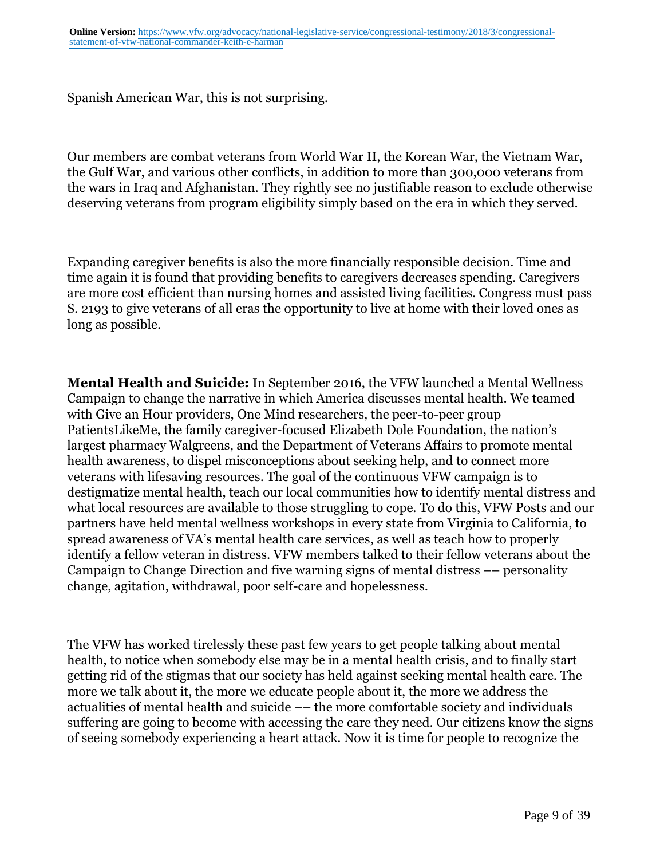Spanish American War, this is not surprising.

Our members are combat veterans from World War II, the Korean War, the Vietnam War, the Gulf War, and various other conflicts, in addition to more than 300,000 veterans from the wars in Iraq and Afghanistan. They rightly see no justifiable reason to exclude otherwise deserving veterans from program eligibility simply based on the era in which they served.

Expanding caregiver benefits is also the more financially responsible decision. Time and time again it is found that providing benefits to caregivers decreases spending. Caregivers are more cost efficient than nursing homes and assisted living facilities. Congress must pass S. 2193 to give veterans of all eras the opportunity to live at home with their loved ones as long as possible.

**Mental Health and Suicide:** In September 2016, the VFW launched a Mental Wellness Campaign to change the narrative in which America discusses mental health. We teamed with Give an Hour providers, One Mind researchers, the peer-to-peer group PatientsLikeMe, the family caregiver-focused Elizabeth Dole Foundation, the nation's largest pharmacy Walgreens, and the Department of Veterans Affairs to promote mental health awareness, to dispel misconceptions about seeking help, and to connect more veterans with lifesaving resources. The goal of the continuous VFW campaign is to destigmatize mental health, teach our local communities how to identify mental distress and what local resources are available to those struggling to cope. To do this, VFW Posts and our partners have held mental wellness workshops in every state from Virginia to California, to spread awareness of VA's mental health care services, as well as teach how to properly identify a fellow veteran in distress. VFW members talked to their fellow veterans about the Campaign to Change Direction and five warning signs of mental distress –– personality change, agitation, withdrawal, poor self-care and hopelessness.

The VFW has worked tirelessly these past few years to get people talking about mental health, to notice when somebody else may be in a mental health crisis, and to finally start getting rid of the stigmas that our society has held against seeking mental health care. The more we talk about it, the more we educate people about it, the more we address the actualities of mental health and suicide –– the more comfortable society and individuals suffering are going to become with accessing the care they need. Our citizens know the signs of seeing somebody experiencing a heart attack. Now it is time for people to recognize the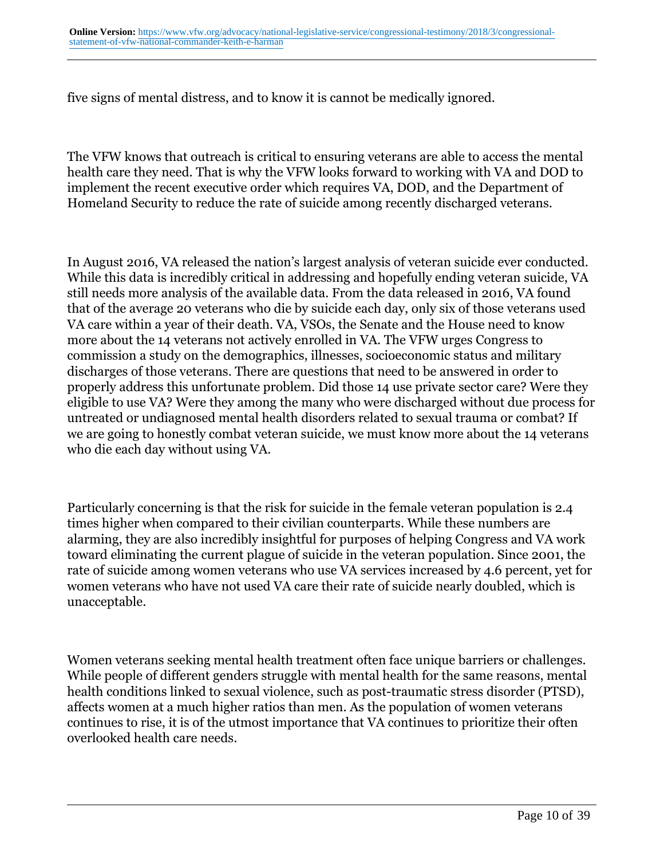five signs of mental distress, and to know it is cannot be medically ignored.

The VFW knows that outreach is critical to ensuring veterans are able to access the mental health care they need. That is why the VFW looks forward to working with VA and DOD to implement the recent executive order which requires VA, DOD, and the Department of Homeland Security to reduce the rate of suicide among recently discharged veterans.

In August 2016, VA released the nation's largest analysis of veteran suicide ever conducted. While this data is incredibly critical in addressing and hopefully ending veteran suicide, VA still needs more analysis of the available data. From the data released in 2016, VA found that of the average 20 veterans who die by suicide each day, only six of those veterans used VA care within a year of their death. VA, VSOs, the Senate and the House need to know more about the 14 veterans not actively enrolled in VA. The VFW urges Congress to commission a study on the demographics, illnesses, socioeconomic status and military discharges of those veterans. There are questions that need to be answered in order to properly address this unfortunate problem. Did those 14 use private sector care? Were they eligible to use VA? Were they among the many who were discharged without due process for untreated or undiagnosed mental health disorders related to sexual trauma or combat? If we are going to honestly combat veteran suicide, we must know more about the 14 veterans who die each day without using VA.

Particularly concerning is that the risk for suicide in the female veteran population is 2.4 times higher when compared to their civilian counterparts. While these numbers are alarming, they are also incredibly insightful for purposes of helping Congress and VA work toward eliminating the current plague of suicide in the veteran population. Since 2001, the rate of suicide among women veterans who use VA services increased by 4.6 percent, yet for women veterans who have not used VA care their rate of suicide nearly doubled, which is unacceptable.

Women veterans seeking mental health treatment often face unique barriers or challenges. While people of different genders struggle with mental health for the same reasons, mental health conditions linked to sexual violence, such as post-traumatic stress disorder (PTSD), affects women at a much higher ratios than men. As the population of women veterans continues to rise, it is of the utmost importance that VA continues to prioritize their often overlooked health care needs.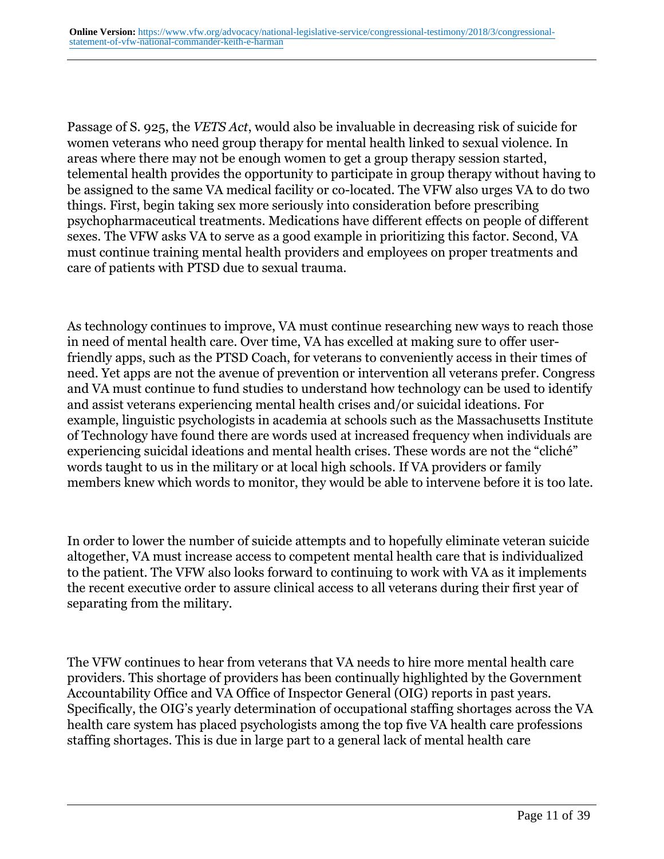Passage of S. 925, the *VETS Act*, would also be invaluable in decreasing risk of suicide for women veterans who need group therapy for mental health linked to sexual violence. In areas where there may not be enough women to get a group therapy session started, telemental health provides the opportunity to participate in group therapy without having to be assigned to the same VA medical facility or co-located. The VFW also urges VA to do two things. First, begin taking sex more seriously into consideration before prescribing psychopharmaceutical treatments. Medications have different effects on people of different sexes. The VFW asks VA to serve as a good example in prioritizing this factor. Second, VA must continue training mental health providers and employees on proper treatments and care of patients with PTSD due to sexual trauma.

As technology continues to improve, VA must continue researching new ways to reach those in need of mental health care. Over time, VA has excelled at making sure to offer userfriendly apps, such as the PTSD Coach, for veterans to conveniently access in their times of need. Yet apps are not the avenue of prevention or intervention all veterans prefer. Congress and VA must continue to fund studies to understand how technology can be used to identify and assist veterans experiencing mental health crises and/or suicidal ideations. For example, linguistic psychologists in academia at schools such as the Massachusetts Institute of Technology have found there are words used at increased frequency when individuals are experiencing suicidal ideations and mental health crises. These words are not the "cliché" words taught to us in the military or at local high schools. If VA providers or family members knew which words to monitor, they would be able to intervene before it is too late.

In order to lower the number of suicide attempts and to hopefully eliminate veteran suicide altogether, VA must increase access to competent mental health care that is individualized to the patient. The VFW also looks forward to continuing to work with VA as it implements the recent executive order to assure clinical access to all veterans during their first year of separating from the military.

The VFW continues to hear from veterans that VA needs to hire more mental health care providers. This shortage of providers has been continually highlighted by the Government Accountability Office and VA Office of Inspector General (OIG) reports in past years. Specifically, the OIG's yearly determination of occupational staffing shortages across the VA health care system has placed psychologists among the top five VA health care professions staffing shortages. This is due in large part to a general lack of mental health care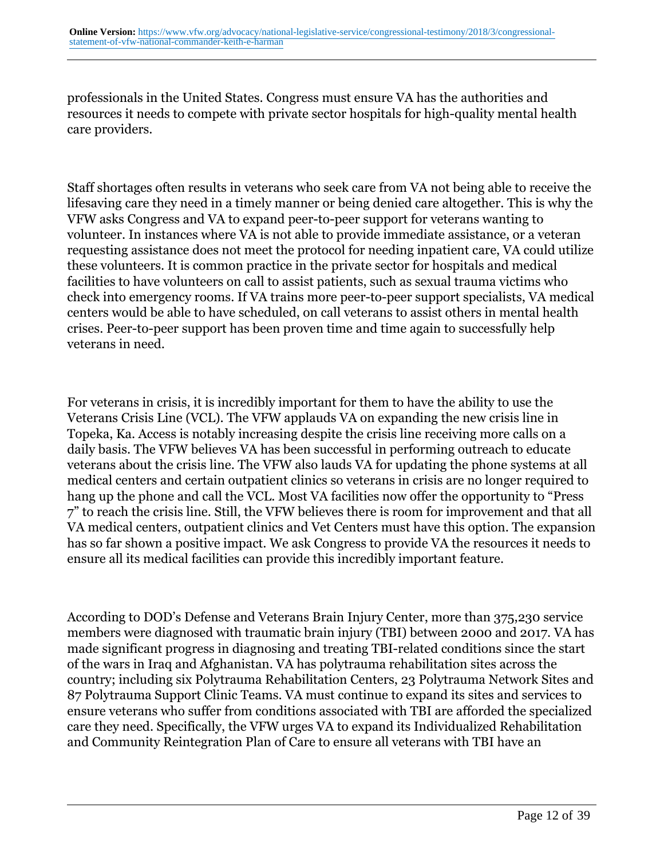professionals in the United States. Congress must ensure VA has the authorities and resources it needs to compete with private sector hospitals for high-quality mental health care providers.

Staff shortages often results in veterans who seek care from VA not being able to receive the lifesaving care they need in a timely manner or being denied care altogether. This is why the VFW asks Congress and VA to expand peer-to-peer support for veterans wanting to volunteer. In instances where VA is not able to provide immediate assistance, or a veteran requesting assistance does not meet the protocol for needing inpatient care, VA could utilize these volunteers. It is common practice in the private sector for hospitals and medical facilities to have volunteers on call to assist patients, such as sexual trauma victims who check into emergency rooms. If VA trains more peer-to-peer support specialists, VA medical centers would be able to have scheduled, on call veterans to assist others in mental health crises. Peer-to-peer support has been proven time and time again to successfully help veterans in need.

For veterans in crisis, it is incredibly important for them to have the ability to use the Veterans Crisis Line (VCL). The VFW applauds VA on expanding the new crisis line in Topeka, Ka. Access is notably increasing despite the crisis line receiving more calls on a daily basis. The VFW believes VA has been successful in performing outreach to educate veterans about the crisis line. The VFW also lauds VA for updating the phone systems at all medical centers and certain outpatient clinics so veterans in crisis are no longer required to hang up the phone and call the VCL. Most VA facilities now offer the opportunity to "Press 7" to reach the crisis line. Still, the VFW believes there is room for improvement and that all VA medical centers, outpatient clinics and Vet Centers must have this option. The expansion has so far shown a positive impact. We ask Congress to provide VA the resources it needs to ensure all its medical facilities can provide this incredibly important feature.

According to DOD's Defense and Veterans Brain Injury Center, more than 375,230 service members were diagnosed with traumatic brain injury (TBI) between 2000 and 2017. VA has made significant progress in diagnosing and treating TBI-related conditions since the start of the wars in Iraq and Afghanistan. VA has polytrauma rehabilitation sites across the country; including six Polytrauma Rehabilitation Centers, 23 Polytrauma Network Sites and 87 Polytrauma Support Clinic Teams. VA must continue to expand its sites and services to ensure veterans who suffer from conditions associated with TBI are afforded the specialized care they need. Specifically, the VFW urges VA to expand its Individualized Rehabilitation and Community Reintegration Plan of Care to ensure all veterans with TBI have an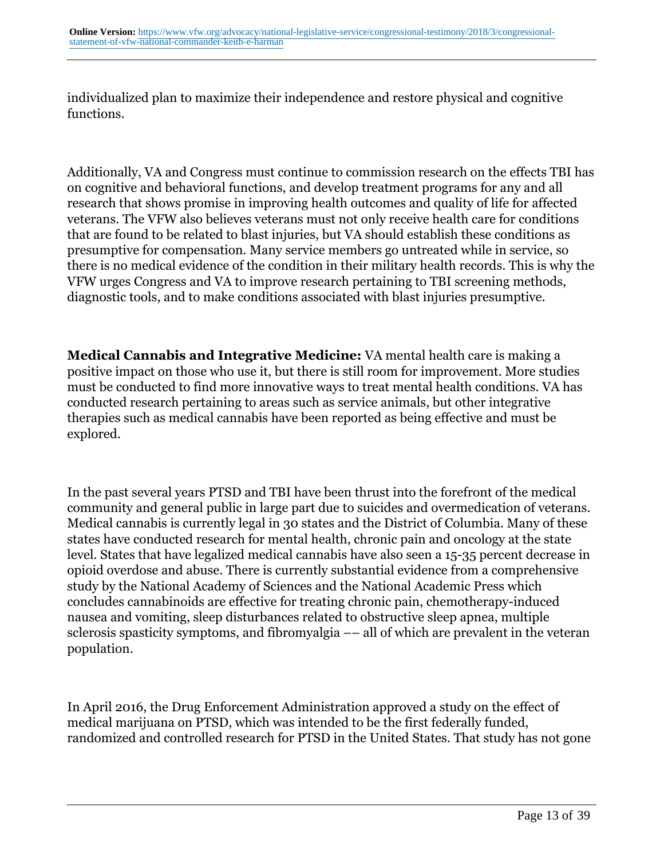individualized plan to maximize their independence and restore physical and cognitive functions.

Additionally, VA and Congress must continue to commission research on the effects TBI has on cognitive and behavioral functions, and develop treatment programs for any and all research that shows promise in improving health outcomes and quality of life for affected veterans. The VFW also believes veterans must not only receive health care for conditions that are found to be related to blast injuries, but VA should establish these conditions as presumptive for compensation. Many service members go untreated while in service, so there is no medical evidence of the condition in their military health records. This is why the VFW urges Congress and VA to improve research pertaining to TBI screening methods, diagnostic tools, and to make conditions associated with blast injuries presumptive.

**Medical Cannabis and Integrative Medicine:** VA mental health care is making a positive impact on those who use it, but there is still room for improvement. More studies must be conducted to find more innovative ways to treat mental health conditions. VA has conducted research pertaining to areas such as service animals, but other integrative therapies such as medical cannabis have been reported as being effective and must be explored.

In the past several years PTSD and TBI have been thrust into the forefront of the medical community and general public in large part due to suicides and overmedication of veterans. Medical cannabis is currently legal in 30 states and the District of Columbia. Many of these states have conducted research for mental health, chronic pain and oncology at the state level. States that have legalized medical cannabis have also seen a 15-35 percent decrease in opioid overdose and abuse. There is currently substantial evidence from a comprehensive study by the National Academy of Sciences and the National Academic Press which concludes cannabinoids are effective for treating chronic pain, chemotherapy-induced nausea and vomiting, sleep disturbances related to obstructive sleep apnea, multiple sclerosis spasticity symptoms, and fibromyalgia –– all of which are prevalent in the veteran population.

In April 2016, the Drug Enforcement Administration approved a study on the effect of medical marijuana on PTSD, which was intended to be the first federally funded, randomized and controlled research for PTSD in the United States. That study has not gone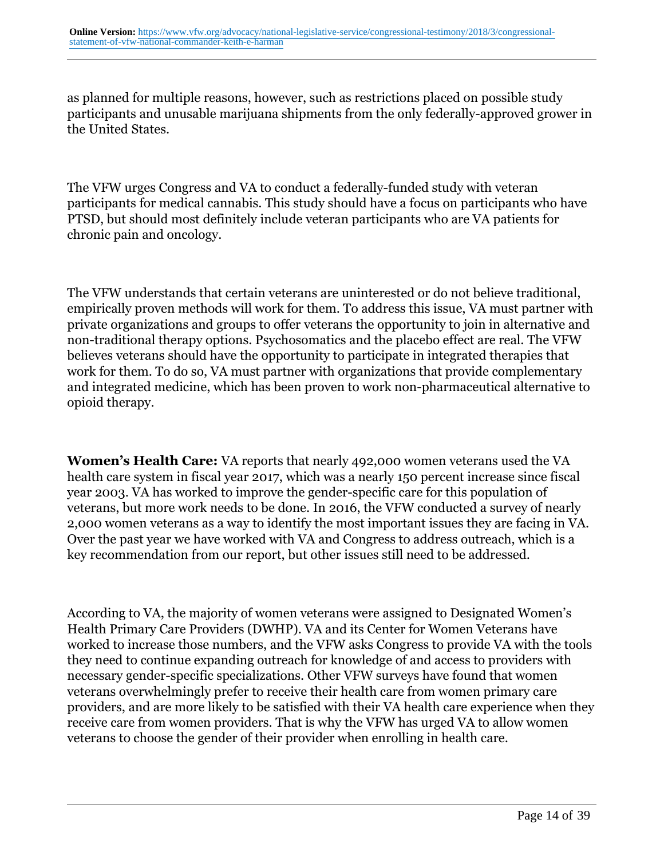as planned for multiple reasons, however, such as restrictions placed on possible study participants and unusable marijuana shipments from the only federally-approved grower in the United States.

The VFW urges Congress and VA to conduct a federally-funded study with veteran participants for medical cannabis. This study should have a focus on participants who have PTSD, but should most definitely include veteran participants who are VA patients for chronic pain and oncology.

The VFW understands that certain veterans are uninterested or do not believe traditional, empirically proven methods will work for them. To address this issue, VA must partner with private organizations and groups to offer veterans the opportunity to join in alternative and non-traditional therapy options. Psychosomatics and the placebo effect are real. The VFW believes veterans should have the opportunity to participate in integrated therapies that work for them. To do so, VA must partner with organizations that provide complementary and integrated medicine, which has been proven to work non-pharmaceutical alternative to opioid therapy.

**Women's Health Care:** VA reports that nearly 492,000 women veterans used the VA health care system in fiscal year 2017, which was a nearly 150 percent increase since fiscal year 2003. VA has worked to improve the gender-specific care for this population of veterans, but more work needs to be done. In 2016, the VFW conducted a survey of nearly 2,000 women veterans as a way to identify the most important issues they are facing in VA. Over the past year we have worked with VA and Congress to address outreach, which is a key recommendation from our report, but other issues still need to be addressed.

According to VA, the majority of women veterans were assigned to Designated Women's Health Primary Care Providers (DWHP). VA and its Center for Women Veterans have worked to increase those numbers, and the VFW asks Congress to provide VA with the tools they need to continue expanding outreach for knowledge of and access to providers with necessary gender-specific specializations. Other VFW surveys have found that women veterans overwhelmingly prefer to receive their health care from women primary care providers, and are more likely to be satisfied with their VA health care experience when they receive care from women providers. That is why the VFW has urged VA to allow women veterans to choose the gender of their provider when enrolling in health care.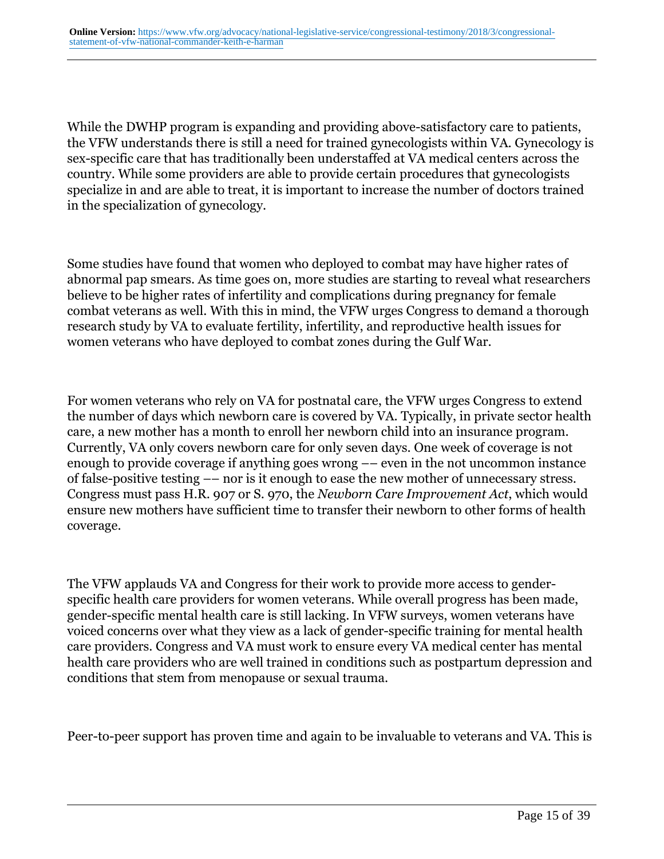While the DWHP program is expanding and providing above-satisfactory care to patients, the VFW understands there is still a need for trained gynecologists within VA. Gynecology is sex-specific care that has traditionally been understaffed at VA medical centers across the country. While some providers are able to provide certain procedures that gynecologists specialize in and are able to treat, it is important to increase the number of doctors trained in the specialization of gynecology.

Some studies have found that women who deployed to combat may have higher rates of abnormal pap smears. As time goes on, more studies are starting to reveal what researchers believe to be higher rates of infertility and complications during pregnancy for female combat veterans as well. With this in mind, the VFW urges Congress to demand a thorough research study by VA to evaluate fertility, infertility, and reproductive health issues for women veterans who have deployed to combat zones during the Gulf War.

For women veterans who rely on VA for postnatal care, the VFW urges Congress to extend the number of days which newborn care is covered by VA. Typically, in private sector health care, a new mother has a month to enroll her newborn child into an insurance program. Currently, VA only covers newborn care for only seven days. One week of coverage is not enough to provide coverage if anything goes wrong –– even in the not uncommon instance of false-positive testing –– nor is it enough to ease the new mother of unnecessary stress. Congress must pass H.R. 907 or S. 970, the *Newborn Care Improvement Act*, which would ensure new mothers have sufficient time to transfer their newborn to other forms of health coverage.

The VFW applauds VA and Congress for their work to provide more access to genderspecific health care providers for women veterans. While overall progress has been made, gender-specific mental health care is still lacking. In VFW surveys, women veterans have voiced concerns over what they view as a lack of gender-specific training for mental health care providers. Congress and VA must work to ensure every VA medical center has mental health care providers who are well trained in conditions such as postpartum depression and conditions that stem from menopause or sexual trauma.

Peer-to-peer support has proven time and again to be invaluable to veterans and VA. This is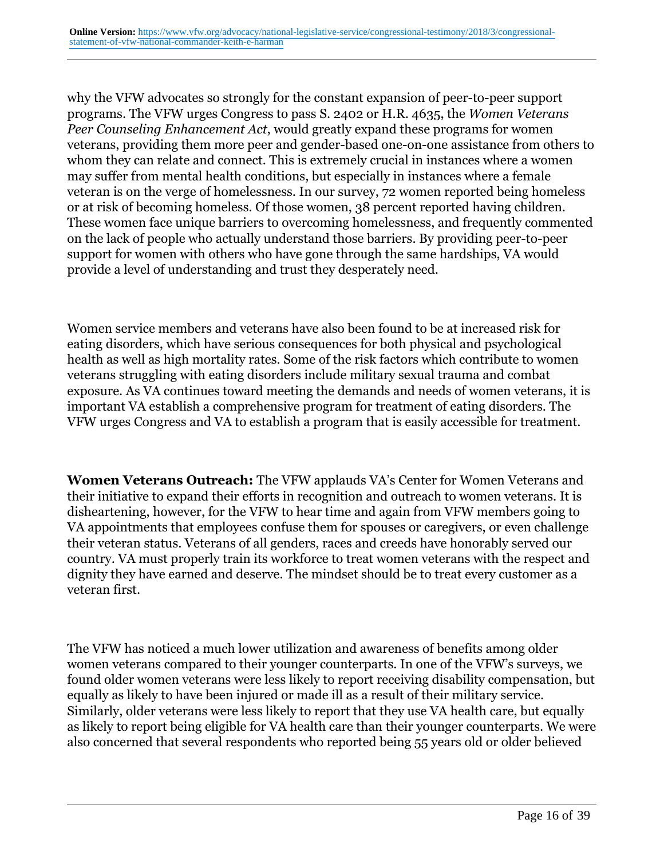why the VFW advocates so strongly for the constant expansion of peer-to-peer support programs. The VFW urges Congress to pass S. 2402 or H.R. 4635, the *Women Veterans Peer Counseling Enhancement Act*, would greatly expand these programs for women veterans, providing them more peer and gender-based one-on-one assistance from others to whom they can relate and connect. This is extremely crucial in instances where a women may suffer from mental health conditions, but especially in instances where a female veteran is on the verge of homelessness. In our survey, 72 women reported being homeless or at risk of becoming homeless. Of those women, 38 percent reported having children. These women face unique barriers to overcoming homelessness, and frequently commented on the lack of people who actually understand those barriers. By providing peer-to-peer support for women with others who have gone through the same hardships, VA would provide a level of understanding and trust they desperately need.

Women service members and veterans have also been found to be at increased risk for eating disorders, which have serious consequences for both physical and psychological health as well as high mortality rates. Some of the risk factors which contribute to women veterans struggling with eating disorders include military sexual trauma and combat exposure. As VA continues toward meeting the demands and needs of women veterans, it is important VA establish a comprehensive program for treatment of eating disorders. The VFW urges Congress and VA to establish a program that is easily accessible for treatment.

**Women Veterans Outreach:** The VFW applauds VA's Center for Women Veterans and their initiative to expand their efforts in recognition and outreach to women veterans. It is disheartening, however, for the VFW to hear time and again from VFW members going to VA appointments that employees confuse them for spouses or caregivers, or even challenge their veteran status. Veterans of all genders, races and creeds have honorably served our country. VA must properly train its workforce to treat women veterans with the respect and dignity they have earned and deserve. The mindset should be to treat every customer as a veteran first.

The VFW has noticed a much lower utilization and awareness of benefits among older women veterans compared to their younger counterparts. In one of the VFW's surveys, we found older women veterans were less likely to report receiving disability compensation, but equally as likely to have been injured or made ill as a result of their military service. Similarly, older veterans were less likely to report that they use VA health care, but equally as likely to report being eligible for VA health care than their younger counterparts. We were also concerned that several respondents who reported being 55 years old or older believed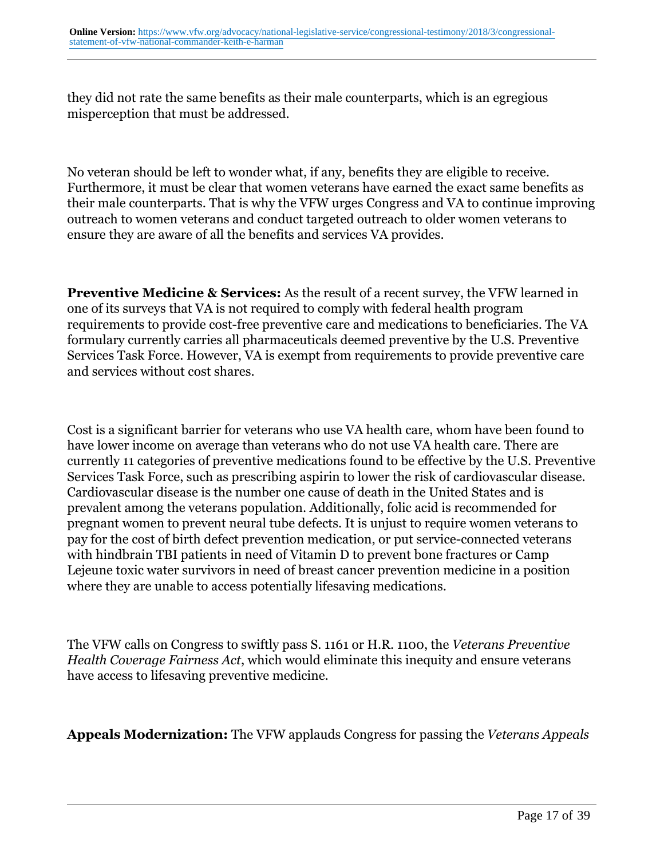they did not rate the same benefits as their male counterparts, which is an egregious misperception that must be addressed.

No veteran should be left to wonder what, if any, benefits they are eligible to receive. Furthermore, it must be clear that women veterans have earned the exact same benefits as their male counterparts. That is why the VFW urges Congress and VA to continue improving outreach to women veterans and conduct targeted outreach to older women veterans to ensure they are aware of all the benefits and services VA provides.

**Preventive Medicine & Services:** As the result of a recent survey, the VFW learned in one of its surveys that VA is not required to comply with federal health program requirements to provide cost-free preventive care and medications to beneficiaries. The VA formulary currently carries all pharmaceuticals deemed preventive by the U.S. Preventive Services Task Force. However, VA is exempt from requirements to provide preventive care and services without cost shares.

Cost is a significant barrier for veterans who use VA health care, whom have been found to have lower income on average than veterans who do not use VA health care. There are currently 11 categories of preventive medications found to be effective by the U.S. Preventive Services Task Force, such as prescribing aspirin to lower the risk of cardiovascular disease. Cardiovascular disease is the number one cause of death in the United States and is prevalent among the veterans population. Additionally, folic acid is recommended for pregnant women to prevent neural tube defects. It is unjust to require women veterans to pay for the cost of birth defect prevention medication, or put service-connected veterans with hindbrain TBI patients in need of Vitamin D to prevent bone fractures or Camp Lejeune toxic water survivors in need of breast cancer prevention medicine in a position where they are unable to access potentially lifesaving medications.

The VFW calls on Congress to swiftly pass S. 1161 or H.R. 1100, the *Veterans Preventive Health Coverage Fairness Act*, which would eliminate this inequity and ensure veterans have access to lifesaving preventive medicine*.*

**Appeals Modernization:** The VFW applauds Congress for passing the *Veterans Appeals*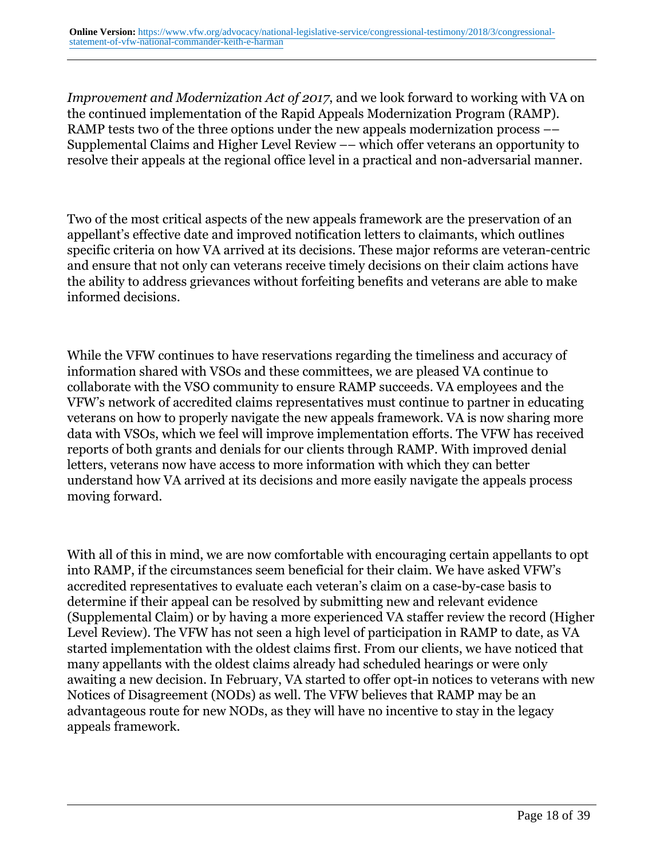*Improvement and Modernization Act of 2017*, and we look forward to working with VA on the continued implementation of the Rapid Appeals Modernization Program (RAMP). RAMP tests two of the three options under the new appeals modernization process  $-$ Supplemental Claims and Higher Level Review –– which offer veterans an opportunity to resolve their appeals at the regional office level in a practical and non-adversarial manner.

Two of the most critical aspects of the new appeals framework are the preservation of an appellant's effective date and improved notification letters to claimants, which outlines specific criteria on how VA arrived at its decisions. These major reforms are veteran-centric and ensure that not only can veterans receive timely decisions on their claim actions have the ability to address grievances without forfeiting benefits and veterans are able to make informed decisions.

While the VFW continues to have reservations regarding the timeliness and accuracy of information shared with VSOs and these committees, we are pleased VA continue to collaborate with the VSO community to ensure RAMP succeeds. VA employees and the VFW's network of accredited claims representatives must continue to partner in educating veterans on how to properly navigate the new appeals framework. VA is now sharing more data with VSOs, which we feel will improve implementation efforts. The VFW has received reports of both grants and denials for our clients through RAMP. With improved denial letters, veterans now have access to more information with which they can better understand how VA arrived at its decisions and more easily navigate the appeals process moving forward.

With all of this in mind, we are now comfortable with encouraging certain appellants to opt into RAMP, if the circumstances seem beneficial for their claim. We have asked VFW's accredited representatives to evaluate each veteran's claim on a case-by-case basis to determine if their appeal can be resolved by submitting new and relevant evidence (Supplemental Claim) or by having a more experienced VA staffer review the record (Higher Level Review). The VFW has not seen a high level of participation in RAMP to date, as VA started implementation with the oldest claims first. From our clients, we have noticed that many appellants with the oldest claims already had scheduled hearings or were only awaiting a new decision. In February, VA started to offer opt-in notices to veterans with new Notices of Disagreement (NODs) as well. The VFW believes that RAMP may be an advantageous route for new NODs, as they will have no incentive to stay in the legacy appeals framework.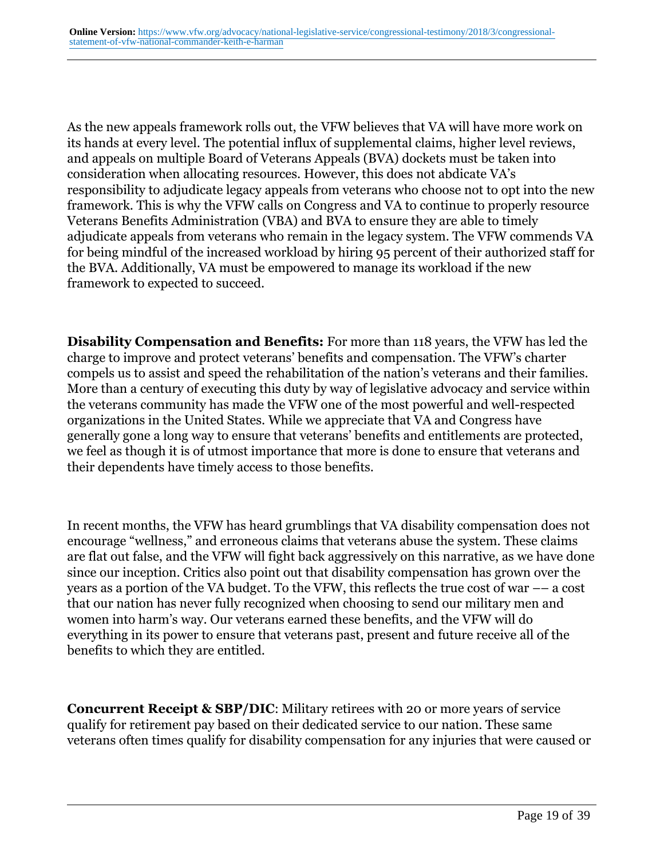As the new appeals framework rolls out, the VFW believes that VA will have more work on its hands at every level. The potential influx of supplemental claims, higher level reviews, and appeals on multiple Board of Veterans Appeals (BVA) dockets must be taken into consideration when allocating resources. However, this does not abdicate VA's responsibility to adjudicate legacy appeals from veterans who choose not to opt into the new framework. This is why the VFW calls on Congress and VA to continue to properly resource Veterans Benefits Administration (VBA) and BVA to ensure they are able to timely adjudicate appeals from veterans who remain in the legacy system. The VFW commends VA for being mindful of the increased workload by hiring 95 percent of their authorized staff for the BVA. Additionally, VA must be empowered to manage its workload if the new framework to expected to succeed.

**Disability Compensation and Benefits:** For more than 118 years, the VFW has led the charge to improve and protect veterans' benefits and compensation. The VFW's charter compels us to assist and speed the rehabilitation of the nation's veterans and their families. More than a century of executing this duty by way of legislative advocacy and service within the veterans community has made the VFW one of the most powerful and well-respected organizations in the United States. While we appreciate that VA and Congress have generally gone a long way to ensure that veterans' benefits and entitlements are protected, we feel as though it is of utmost importance that more is done to ensure that veterans and their dependents have timely access to those benefits.

In recent months, the VFW has heard grumblings that VA disability compensation does not encourage "wellness," and erroneous claims that veterans abuse the system. These claims are flat out false, and the VFW will fight back aggressively on this narrative, as we have done since our inception. Critics also point out that disability compensation has grown over the years as a portion of the VA budget. To the VFW, this reflects the true cost of war –– a cost that our nation has never fully recognized when choosing to send our military men and women into harm's way. Our veterans earned these benefits, and the VFW will do everything in its power to ensure that veterans past, present and future receive all of the benefits to which they are entitled.

**Concurrent Receipt & SBP/DIC**: Military retirees with 20 or more years of service qualify for retirement pay based on their dedicated service to our nation. These same veterans often times qualify for disability compensation for any injuries that were caused or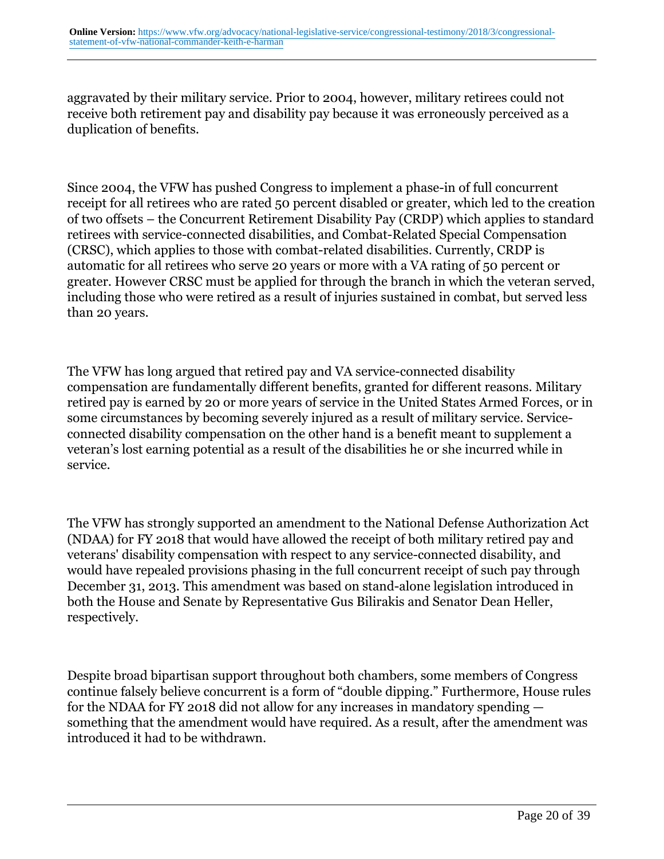aggravated by their military service. Prior to 2004, however, military retirees could not receive both retirement pay and disability pay because it was erroneously perceived as a duplication of benefits.

Since 2004, the VFW has pushed Congress to implement a phase-in of full concurrent receipt for all retirees who are rated 50 percent disabled or greater, which led to the creation of two offsets – the Concurrent Retirement Disability Pay (CRDP) which applies to standard retirees with service-connected disabilities, and Combat-Related Special Compensation (CRSC), which applies to those with combat-related disabilities. Currently, CRDP is automatic for all retirees who serve 20 years or more with a VA rating of 50 percent or greater. However CRSC must be applied for through the branch in which the veteran served, including those who were retired as a result of injuries sustained in combat, but served less than 20 years.

The VFW has long argued that retired pay and VA service-connected disability compensation are fundamentally different benefits, granted for different reasons. Military retired pay is earned by 20 or more years of service in the United States Armed Forces, or in some circumstances by becoming severely injured as a result of military service. Serviceconnected disability compensation on the other hand is a benefit meant to supplement a veteran's lost earning potential as a result of the disabilities he or she incurred while in service.

The VFW has strongly supported an amendment to the National Defense Authorization Act (NDAA) for FY 2018 that would have allowed the receipt of both military retired pay and veterans' disability compensation with respect to any service-connected disability, and would have repealed provisions phasing in the full concurrent receipt of such pay through December 31, 2013. This amendment was based on stand-alone legislation introduced in both the House and Senate by Representative Gus Bilirakis and Senator Dean Heller, respectively.

Despite broad bipartisan support throughout both chambers, some members of Congress continue falsely believe concurrent is a form of "double dipping." Furthermore, House rules for the NDAA for FY 2018 did not allow for any increases in mandatory spending something that the amendment would have required. As a result, after the amendment was introduced it had to be withdrawn.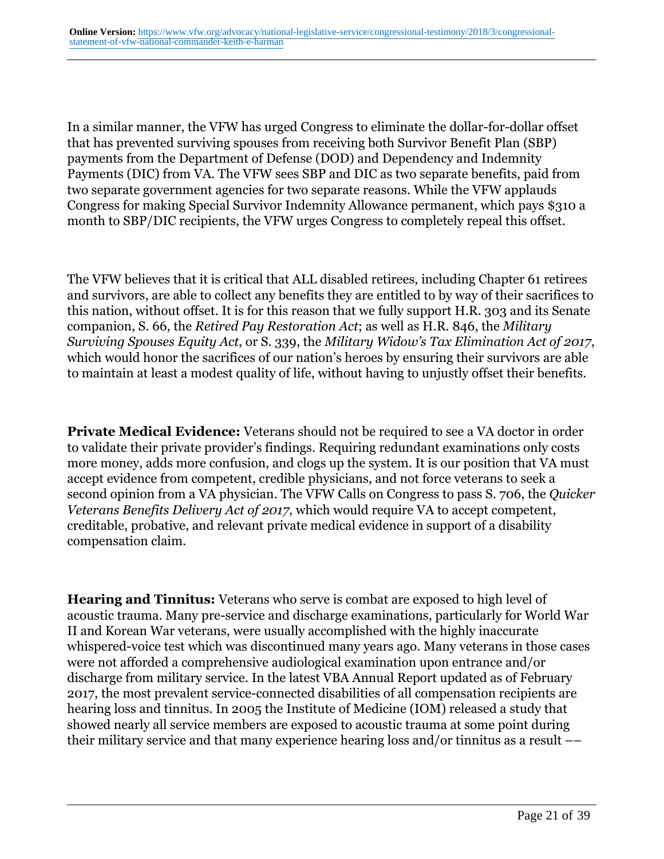In a similar manner, the VFW has urged Congress to eliminate the dollar-for-dollar offset that has prevented surviving spouses from receiving both Survivor Benefit Plan (SBP) payments from the Department of Defense (DOD) and Dependency and Indemnity Payments (DIC) from VA. The VFW sees SBP and DIC as two separate benefits, paid from two separate government agencies for two separate reasons. While the VFW applauds Congress for making Special Survivor Indemnity Allowance permanent, which pays \$310 a month to SBP/DIC recipients, the VFW urges Congress to completely repeal this offset.

The VFW believes that it is critical that ALL disabled retirees, including Chapter 61 retirees and survivors, are able to collect any benefits they are entitled to by way of their sacrifices to this nation, without offset. It is for this reason that we fully support H.R. 303 and its Senate companion, S. 66, the *Retired Pay Restoration Act*; as well as H.R. 846, the *Military Surviving Spouses Equity Act*, or S. 339, the *Military Widow's Tax Elimination Act of 2017*, which would honor the sacrifices of our nation's heroes by ensuring their survivors are able to maintain at least a modest quality of life, without having to unjustly offset their benefits.

**Private Medical Evidence:** Veterans should not be required to see a VA doctor in order to validate their private provider's findings. Requiring redundant examinations only costs more money, adds more confusion, and clogs up the system. It is our position that VA must accept evidence from competent, credible physicians, and not force veterans to seek a second opinion from a VA physician. The VFW Calls on Congress to pass S. 706, the *Quicker Veterans Benefits Delivery Act of 2017*, which would require VA to accept competent, creditable, probative, and relevant private medical evidence in support of a disability compensation claim.

**Hearing and Tinnitus:** Veterans who serve is combat are exposed to high level of acoustic trauma. Many pre-service and discharge examinations, particularly for World War II and Korean War veterans, were usually accomplished with the highly inaccurate whispered-voice test which was discontinued many years ago. Many veterans in those cases were not afforded a comprehensive audiological examination upon entrance and/or discharge from military service. In the latest VBA Annual Report updated as of February 2017, the most prevalent service-connected disabilities of all compensation recipients are hearing loss and tinnitus. In 2005 the Institute of Medicine (IOM) released a study that showed nearly all service members are exposed to acoustic trauma at some point during their military service and that many experience hearing loss and/or tinnitus as a result ––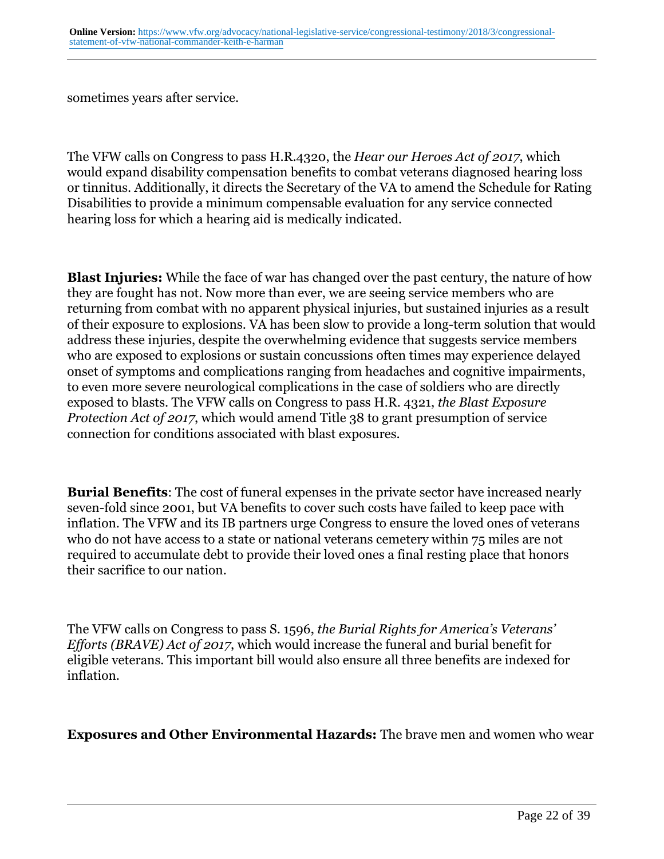sometimes years after service.

The VFW calls on Congress to pass H.R.4320, the *Hear our Heroes Act of 2017*, which would expand disability compensation benefits to combat veterans diagnosed hearing loss or tinnitus. Additionally, it directs the Secretary of the VA to amend the Schedule for Rating Disabilities to provide a minimum compensable evaluation for any service connected hearing loss for which a hearing aid is medically indicated.

**Blast Injuries:** While the face of war has changed over the past century, the nature of how they are fought has not. Now more than ever, we are seeing service members who are returning from combat with no apparent physical injuries, but sustained injuries as a result of their exposure to explosions. VA has been slow to provide a long-term solution that would address these injuries, despite the overwhelming evidence that suggests service members who are exposed to explosions or sustain concussions often times may experience delayed onset of symptoms and complications ranging from headaches and cognitive impairments, to even more severe neurological complications in the case of soldiers who are directly exposed to blasts. The VFW calls on Congress to pass H.R. 4321, *the Blast Exposure Protection Act of 2017*, which would amend Title 38 to grant presumption of service connection for conditions associated with blast exposures.

**Burial Benefits**: The cost of funeral expenses in the private sector have increased nearly seven-fold since 2001, but VA benefits to cover such costs have failed to keep pace with inflation. The VFW and its IB partners urge Congress to ensure the loved ones of veterans who do not have access to a state or national veterans cemetery within 75 miles are not required to accumulate debt to provide their loved ones a final resting place that honors their sacrifice to our nation.

The VFW calls on Congress to pass S. 1596, *the Burial Rights for America's Veterans' Efforts (BRAVE) Act of 2017*, which would increase the funeral and burial benefit for eligible veterans. This important bill would also ensure all three benefits are indexed for inflation.

**Exposures and Other Environmental Hazards:** The brave men and women who wear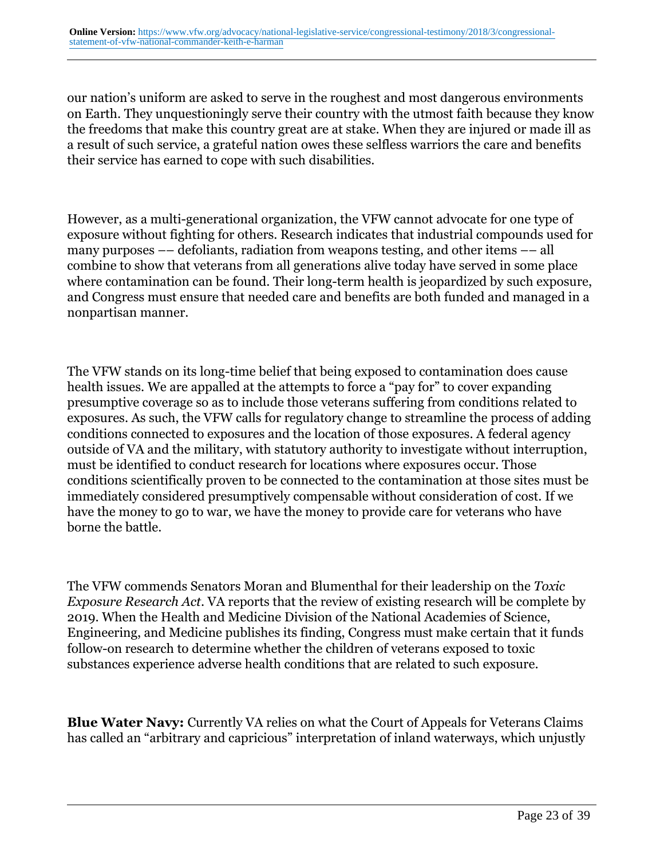our nation's uniform are asked to serve in the roughest and most dangerous environments on Earth. They unquestioningly serve their country with the utmost faith because they know the freedoms that make this country great are at stake. When they are injured or made ill as a result of such service, a grateful nation owes these selfless warriors the care and benefits their service has earned to cope with such disabilities.

However, as a multi-generational organization, the VFW cannot advocate for one type of exposure without fighting for others. Research indicates that industrial compounds used for many purposes –– defoliants, radiation from weapons testing, and other items –– all combine to show that veterans from all generations alive today have served in some place where contamination can be found. Their long-term health is jeopardized by such exposure, and Congress must ensure that needed care and benefits are both funded and managed in a nonpartisan manner.

The VFW stands on its long-time belief that being exposed to contamination does cause health issues. We are appalled at the attempts to force a "pay for" to cover expanding presumptive coverage so as to include those veterans suffering from conditions related to exposures. As such, the VFW calls for regulatory change to streamline the process of adding conditions connected to exposures and the location of those exposures. A federal agency outside of VA and the military, with statutory authority to investigate without interruption, must be identified to conduct research for locations where exposures occur. Those conditions scientifically proven to be connected to the contamination at those sites must be immediately considered presumptively compensable without consideration of cost. If we have the money to go to war, we have the money to provide care for veterans who have borne the battle.

The VFW commends Senators Moran and Blumenthal for their leadership on the *Toxic Exposure Research Act*. VA reports that the review of existing research will be complete by 2019. When the Health and Medicine Division of the National Academies of Science, Engineering, and Medicine publishes its finding, Congress must make certain that it funds follow-on research to determine whether the children of veterans exposed to toxic substances experience adverse health conditions that are related to such exposure.

**Blue Water Navy:** Currently VA relies on what the Court of Appeals for Veterans Claims has called an "arbitrary and capricious" interpretation of inland waterways, which unjustly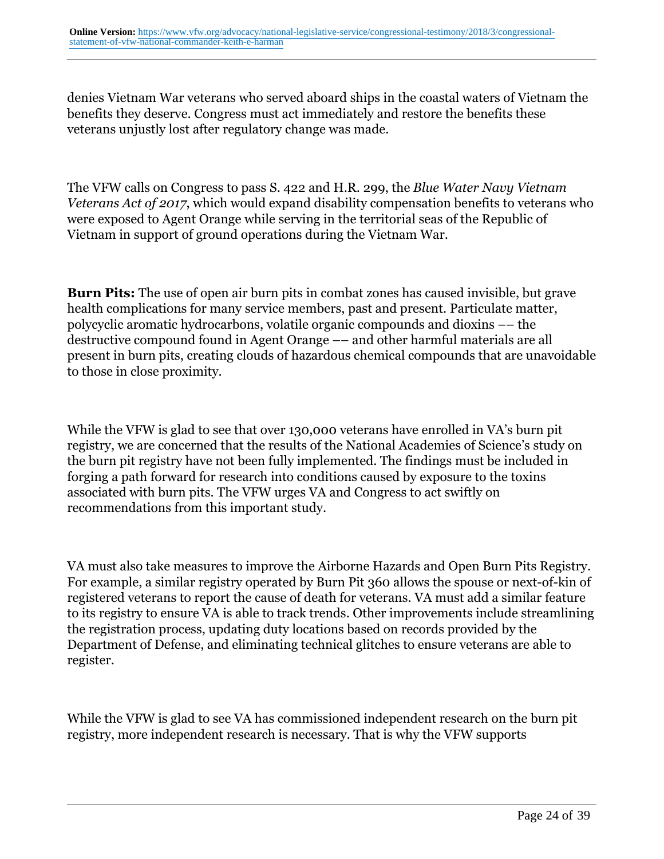denies Vietnam War veterans who served aboard ships in the coastal waters of Vietnam the benefits they deserve. Congress must act immediately and restore the benefits these veterans unjustly lost after regulatory change was made.

The VFW calls on Congress to pass S. 422 and H.R. 299, the *Blue Water Navy Vietnam Veterans Act of 2017*, which would expand disability compensation benefits to veterans who were exposed to Agent Orange while serving in the territorial seas of the Republic of Vietnam in support of ground operations during the Vietnam War.

**Burn Pits:** The use of open air burn pits in combat zones has caused invisible, but grave health complications for many service members, past and present. Particulate matter, polycyclic aromatic hydrocarbons, volatile organic compounds and dioxins –– the destructive compound found in Agent Orange –– and other harmful materials are all present in burn pits, creating clouds of hazardous chemical compounds that are unavoidable to those in close proximity.

While the VFW is glad to see that over 130,000 veterans have enrolled in VA's burn pit registry, we are concerned that the results of the National Academies of Science's study on the burn pit registry have not been fully implemented. The findings must be included in forging a path forward for research into conditions caused by exposure to the toxins associated with burn pits. The VFW urges VA and Congress to act swiftly on recommendations from this important study.

VA must also take measures to improve the Airborne Hazards and Open Burn Pits Registry. For example, a similar registry operated by Burn Pit 360 allows the spouse or next-of-kin of registered veterans to report the cause of death for veterans. VA must add a similar feature to its registry to ensure VA is able to track trends. Other improvements include streamlining the registration process, updating duty locations based on records provided by the Department of Defense, and eliminating technical glitches to ensure veterans are able to register.

While the VFW is glad to see VA has commissioned independent research on the burn pit registry, more independent research is necessary. That is why the VFW supports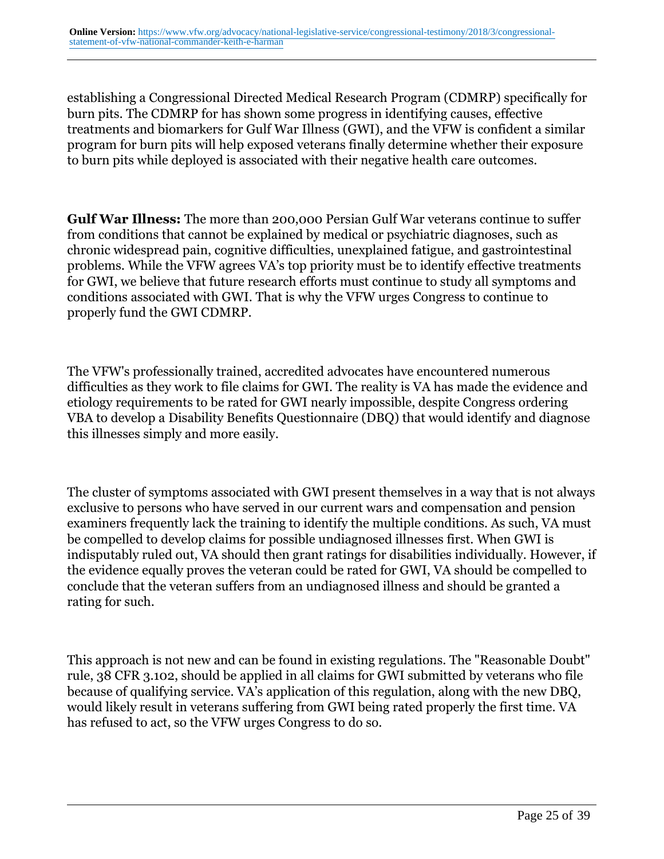establishing a Congressional Directed Medical Research Program (CDMRP) specifically for burn pits. The CDMRP for has shown some progress in identifying causes, effective treatments and biomarkers for Gulf War Illness (GWI), and the VFW is confident a similar program for burn pits will help exposed veterans finally determine whether their exposure to burn pits while deployed is associated with their negative health care outcomes.

**Gulf War Illness:** The more than 200,000 Persian Gulf War veterans continue to suffer from conditions that cannot be explained by medical or psychiatric diagnoses, such as chronic widespread pain, cognitive difficulties, unexplained fatigue, and gastrointestinal problems. While the VFW agrees VA's top priority must be to identify effective treatments for GWI, we believe that future research efforts must continue to study all symptoms and conditions associated with GWI. That is why the VFW urges Congress to continue to properly fund the GWI CDMRP.

The VFW's professionally trained, accredited advocates have encountered numerous difficulties as they work to file claims for GWI. The reality is VA has made the evidence and etiology requirements to be rated for GWI nearly impossible, despite Congress ordering VBA to develop a Disability Benefits Questionnaire (DBQ) that would identify and diagnose this illnesses simply and more easily.

The cluster of symptoms associated with GWI present themselves in a way that is not always exclusive to persons who have served in our current wars and compensation and pension examiners frequently lack the training to identify the multiple conditions. As such, VA must be compelled to develop claims for possible undiagnosed illnesses first. When GWI is indisputably ruled out, VA should then grant ratings for disabilities individually. However, if the evidence equally proves the veteran could be rated for GWI, VA should be compelled to conclude that the veteran suffers from an undiagnosed illness and should be granted a rating for such.

This approach is not new and can be found in existing regulations. The "Reasonable Doubt" rule, 38 CFR 3.102, should be applied in all claims for GWI submitted by veterans who file because of qualifying service. VA's application of this regulation, along with the new DBQ, would likely result in veterans suffering from GWI being rated properly the first time. VA has refused to act, so the VFW urges Congress to do so.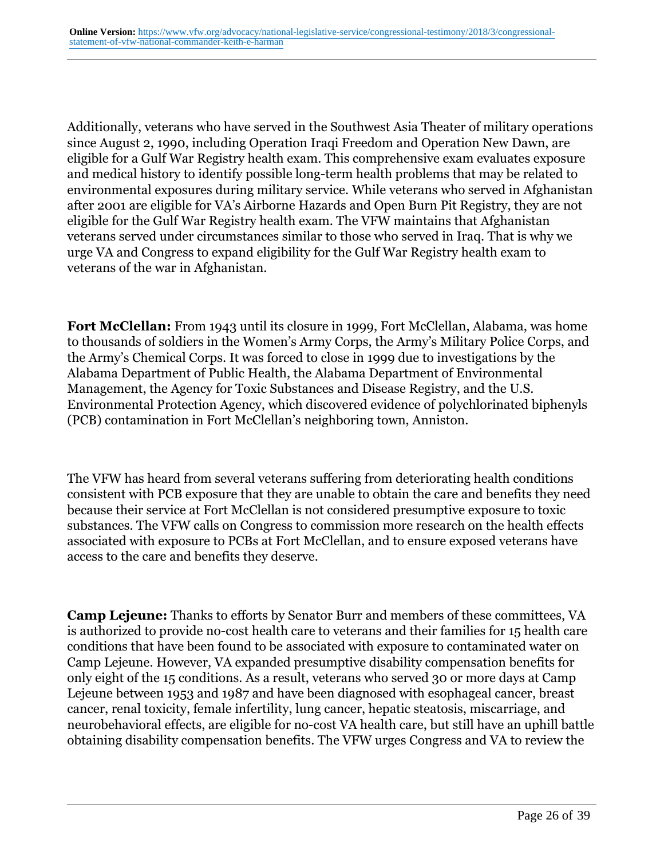Additionally, veterans who have served in the Southwest Asia Theater of military operations since August 2, 1990, including Operation Iraqi Freedom and Operation New Dawn, are eligible for a Gulf War Registry health exam. This comprehensive exam evaluates exposure and medical history to identify possible long-term health problems that may be related to environmental exposures during military service. While veterans who served in Afghanistan after 2001 are eligible for VA's Airborne Hazards and Open Burn Pit Registry, they are not eligible for the Gulf War Registry health exam. The VFW maintains that Afghanistan veterans served under circumstances similar to those who served in Iraq. That is why we urge VA and Congress to expand eligibility for the Gulf War Registry health exam to veterans of the war in Afghanistan.

**Fort McClellan:** From 1943 until its closure in 1999, Fort McClellan, Alabama, was home to thousands of soldiers in the Women's Army Corps, the Army's Military Police Corps, and the Army's Chemical Corps. It was forced to close in 1999 due to investigations by the Alabama Department of Public Health, the Alabama Department of Environmental Management, the Agency for Toxic Substances and Disease Registry, and the U.S. Environmental Protection Agency, which discovered evidence of polychlorinated biphenyls (PCB) contamination in Fort McClellan's neighboring town, Anniston.

The VFW has heard from several veterans suffering from deteriorating health conditions consistent with PCB exposure that they are unable to obtain the care and benefits they need because their service at Fort McClellan is not considered presumptive exposure to toxic substances. The VFW calls on Congress to commission more research on the health effects associated with exposure to PCBs at Fort McClellan, and to ensure exposed veterans have access to the care and benefits they deserve.

**Camp Lejeune:** Thanks to efforts by Senator Burr and members of these committees, VA is authorized to provide no-cost health care to veterans and their families for 15 health care conditions that have been found to be associated with exposure to contaminated water on Camp Lejeune. However, VA expanded presumptive disability compensation benefits for only eight of the 15 conditions. As a result, veterans who served 30 or more days at Camp Lejeune between 1953 and 1987 and have been diagnosed with esophageal cancer, breast cancer, renal toxicity, female infertility, lung cancer, hepatic steatosis, miscarriage, and neurobehavioral effects, are eligible for no-cost VA health care, but still have an uphill battle obtaining disability compensation benefits. The VFW urges Congress and VA to review the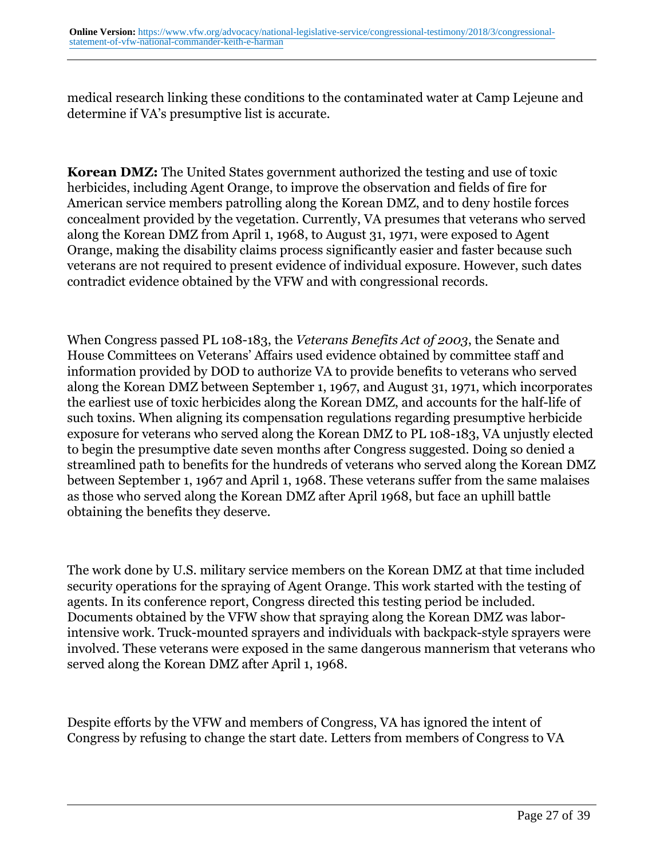medical research linking these conditions to the contaminated water at Camp Lejeune and determine if VA's presumptive list is accurate.

**Korean DMZ:** The United States government authorized the testing and use of toxic herbicides, including Agent Orange, to improve the observation and fields of fire for American service members patrolling along the Korean DMZ, and to deny hostile forces concealment provided by the vegetation. Currently, VA presumes that veterans who served along the Korean DMZ from April 1, 1968, to August 31, 1971, were exposed to Agent Orange, making the disability claims process significantly easier and faster because such veterans are not required to present evidence of individual exposure. However, such dates contradict evidence obtained by the VFW and with congressional records.

When Congress passed PL 108-183, the *Veterans Benefits Act of 2003*, the Senate and House Committees on Veterans' Affairs used evidence obtained by committee staff and information provided by DOD to authorize VA to provide benefits to veterans who served along the Korean DMZ between September 1, 1967, and August 31, 1971, which incorporates the earliest use of toxic herbicides along the Korean DMZ, and accounts for the half-life of such toxins. When aligning its compensation regulations regarding presumptive herbicide exposure for veterans who served along the Korean DMZ to PL 108-183, VA unjustly elected to begin the presumptive date seven months after Congress suggested. Doing so denied a streamlined path to benefits for the hundreds of veterans who served along the Korean DMZ between September 1, 1967 and April 1, 1968. These veterans suffer from the same malaises as those who served along the Korean DMZ after April 1968, but face an uphill battle obtaining the benefits they deserve.

The work done by U.S. military service members on the Korean DMZ at that time included security operations for the spraying of Agent Orange. This work started with the testing of agents. In its conference report, Congress directed this testing period be included. Documents obtained by the VFW show that spraying along the Korean DMZ was laborintensive work. Truck-mounted sprayers and individuals with backpack-style sprayers were involved. These veterans were exposed in the same dangerous mannerism that veterans who served along the Korean DMZ after April 1, 1968.

Despite efforts by the VFW and members of Congress, VA has ignored the intent of Congress by refusing to change the start date. Letters from members of Congress to VA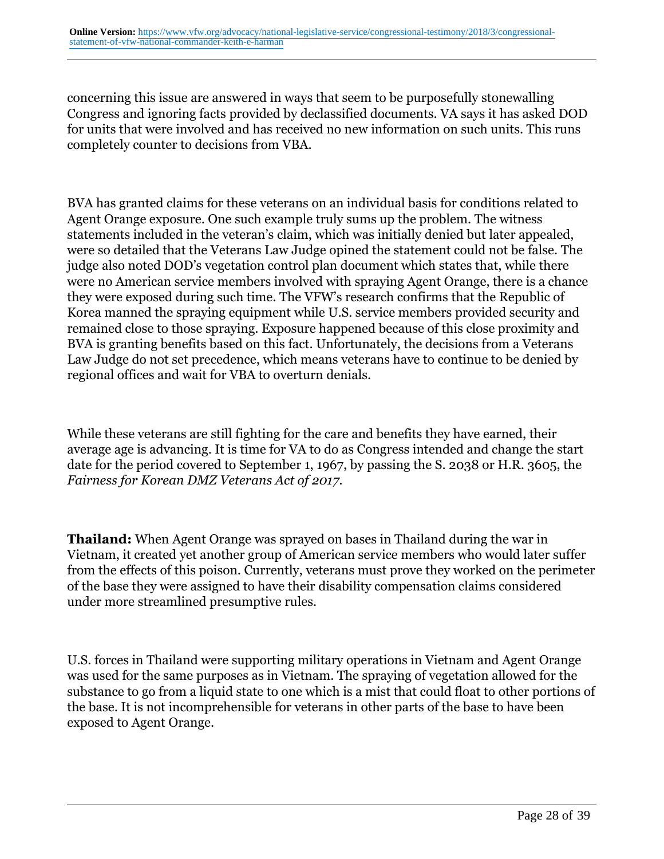concerning this issue are answered in ways that seem to be purposefully stonewalling Congress and ignoring facts provided by declassified documents. VA says it has asked DOD for units that were involved and has received no new information on such units. This runs completely counter to decisions from VBA.

BVA has granted claims for these veterans on an individual basis for conditions related to Agent Orange exposure. One such example truly sums up the problem. The witness statements included in the veteran's claim, which was initially denied but later appealed, were so detailed that the Veterans Law Judge opined the statement could not be false. The judge also noted DOD's vegetation control plan document which states that, while there were no American service members involved with spraying Agent Orange, there is a chance they were exposed during such time. The VFW's research confirms that the Republic of Korea manned the spraying equipment while U.S. service members provided security and remained close to those spraying. Exposure happened because of this close proximity and BVA is granting benefits based on this fact. Unfortunately, the decisions from a Veterans Law Judge do not set precedence, which means veterans have to continue to be denied by regional offices and wait for VBA to overturn denials.

While these veterans are still fighting for the care and benefits they have earned, their average age is advancing. It is time for VA to do as Congress intended and change the start date for the period covered to September 1, 1967, by passing the S. 2038 or H.R. 3605, the *Fairness for Korean DMZ Veterans Act of 2017.*

**Thailand:** When Agent Orange was sprayed on bases in Thailand during the war in Vietnam, it created yet another group of American service members who would later suffer from the effects of this poison. Currently, veterans must prove they worked on the perimeter of the base they were assigned to have their disability compensation claims considered under more streamlined presumptive rules.

U.S. forces in Thailand were supporting military operations in Vietnam and Agent Orange was used for the same purposes as in Vietnam. The spraying of vegetation allowed for the substance to go from a liquid state to one which is a mist that could float to other portions of the base. It is not incomprehensible for veterans in other parts of the base to have been exposed to Agent Orange.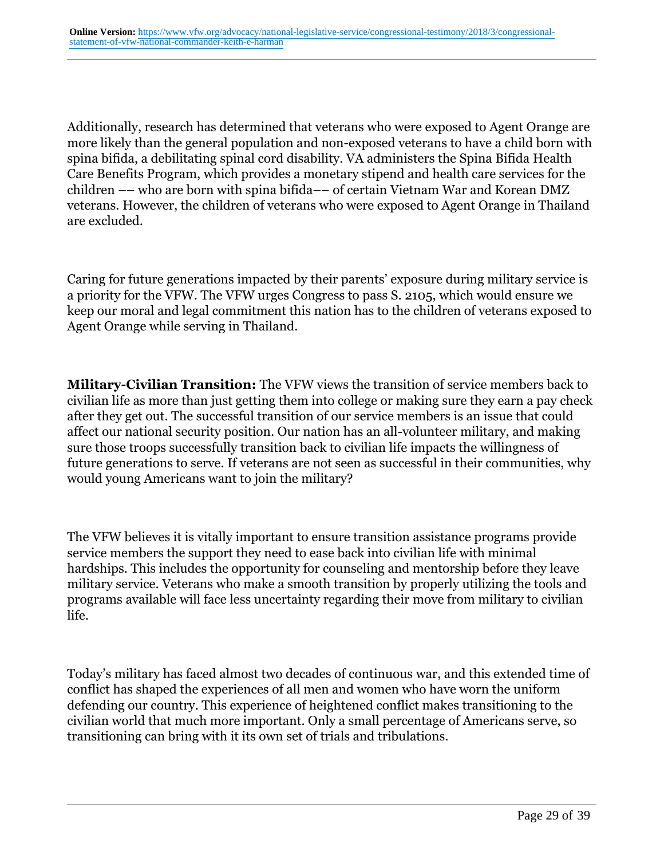Additionally, research has determined that veterans who were exposed to Agent Orange are more likely than the general population and non-exposed veterans to have a child born with spina bifida, a debilitating spinal cord disability. VA administers the Spina Bifida Health Care Benefits Program, which provides a monetary stipend and health care services for the children –– who are born with spina bifida–– of certain Vietnam War and Korean DMZ veterans. However, the children of veterans who were exposed to Agent Orange in Thailand are excluded.

Caring for future generations impacted by their parents' exposure during military service is a priority for the VFW. The VFW urges Congress to pass S. 2105, which would ensure we keep our moral and legal commitment this nation has to the children of veterans exposed to Agent Orange while serving in Thailand.

**Military-Civilian Transition:** The VFW views the transition of service members back to civilian life as more than just getting them into college or making sure they earn a pay check after they get out. The successful transition of our service members is an issue that could affect our national security position. Our nation has an all-volunteer military, and making sure those troops successfully transition back to civilian life impacts the willingness of future generations to serve. If veterans are not seen as successful in their communities, why would young Americans want to join the military?

The VFW believes it is vitally important to ensure transition assistance programs provide service members the support they need to ease back into civilian life with minimal hardships. This includes the opportunity for counseling and mentorship before they leave military service. Veterans who make a smooth transition by properly utilizing the tools and programs available will face less uncertainty regarding their move from military to civilian life.

Today's military has faced almost two decades of continuous war, and this extended time of conflict has shaped the experiences of all men and women who have worn the uniform defending our country. This experience of heightened conflict makes transitioning to the civilian world that much more important. Only a small percentage of Americans serve, so transitioning can bring with it its own set of trials and tribulations.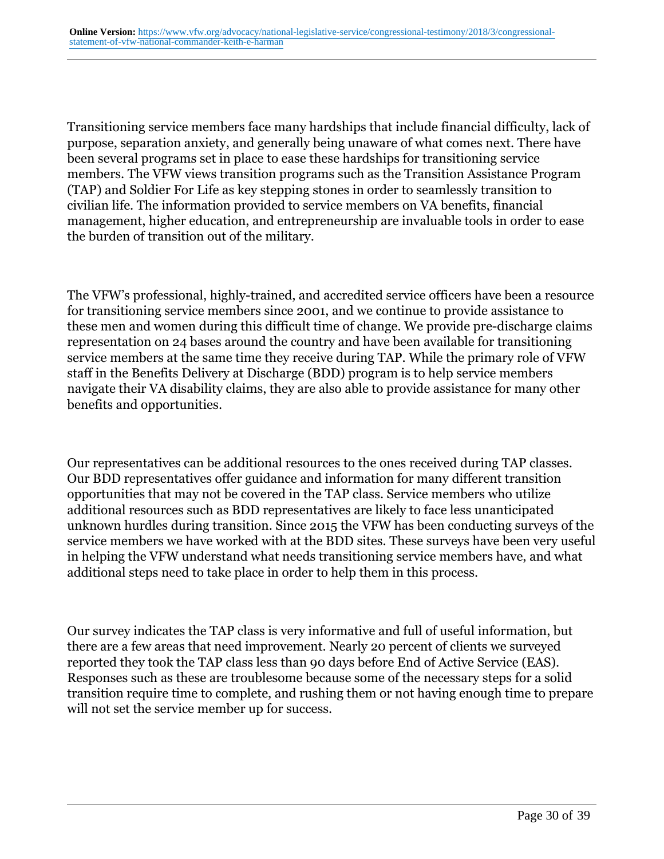Transitioning service members face many hardships that include financial difficulty, lack of purpose, separation anxiety, and generally being unaware of what comes next. There have been several programs set in place to ease these hardships for transitioning service members. The VFW views transition programs such as the Transition Assistance Program (TAP) and Soldier For Life as key stepping stones in order to seamlessly transition to civilian life. The information provided to service members on VA benefits, financial management, higher education, and entrepreneurship are invaluable tools in order to ease the burden of transition out of the military.

The VFW's professional, highly-trained, and accredited service officers have been a resource for transitioning service members since 2001, and we continue to provide assistance to these men and women during this difficult time of change. We provide pre-discharge claims representation on 24 bases around the country and have been available for transitioning service members at the same time they receive during TAP. While the primary role of VFW staff in the Benefits Delivery at Discharge (BDD) program is to help service members navigate their VA disability claims, they are also able to provide assistance for many other benefits and opportunities.

Our representatives can be additional resources to the ones received during TAP classes. Our BDD representatives offer guidance and information for many different transition opportunities that may not be covered in the TAP class. Service members who utilize additional resources such as BDD representatives are likely to face less unanticipated unknown hurdles during transition. Since 2015 the VFW has been conducting surveys of the service members we have worked with at the BDD sites. These surveys have been very useful in helping the VFW understand what needs transitioning service members have, and what additional steps need to take place in order to help them in this process.

Our survey indicates the TAP class is very informative and full of useful information, but there are a few areas that need improvement. Nearly 20 percent of clients we surveyed reported they took the TAP class less than 90 days before End of Active Service (EAS). Responses such as these are troublesome because some of the necessary steps for a solid transition require time to complete, and rushing them or not having enough time to prepare will not set the service member up for success.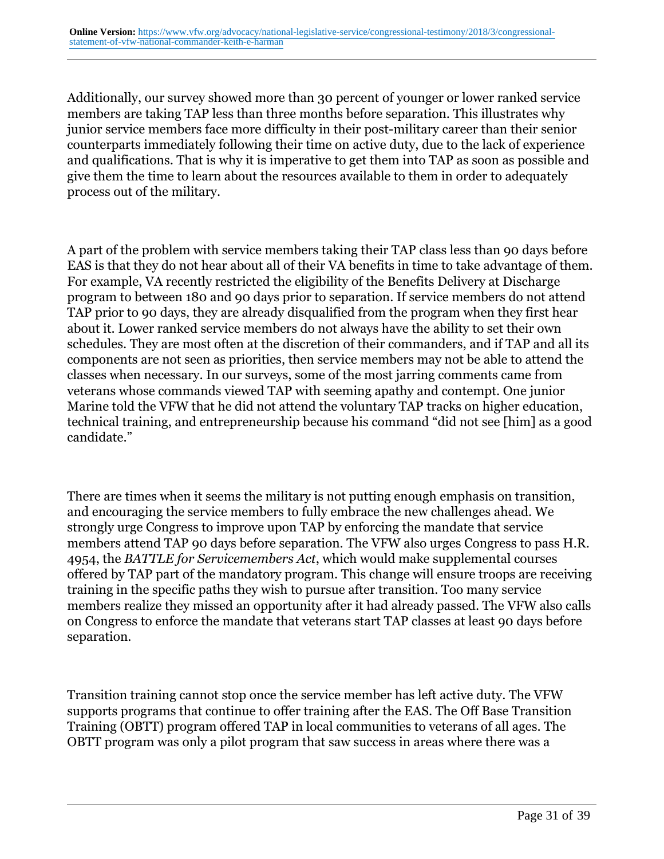Additionally, our survey showed more than 30 percent of younger or lower ranked service members are taking TAP less than three months before separation. This illustrates why junior service members face more difficulty in their post-military career than their senior counterparts immediately following their time on active duty, due to the lack of experience and qualifications. That is why it is imperative to get them into TAP as soon as possible and give them the time to learn about the resources available to them in order to adequately process out of the military.

A part of the problem with service members taking their TAP class less than 90 days before EAS is that they do not hear about all of their VA benefits in time to take advantage of them. For example, VA recently restricted the eligibility of the Benefits Delivery at Discharge program to between 180 and 90 days prior to separation. If service members do not attend TAP prior to 90 days, they are already disqualified from the program when they first hear about it. Lower ranked service members do not always have the ability to set their own schedules. They are most often at the discretion of their commanders, and if TAP and all its components are not seen as priorities, then service members may not be able to attend the classes when necessary. In our surveys, some of the most jarring comments came from veterans whose commands viewed TAP with seeming apathy and contempt. One junior Marine told the VFW that he did not attend the voluntary TAP tracks on higher education, technical training, and entrepreneurship because his command "did not see [him] as a good candidate."

There are times when it seems the military is not putting enough emphasis on transition, and encouraging the service members to fully embrace the new challenges ahead. We strongly urge Congress to improve upon TAP by enforcing the mandate that service members attend TAP 90 days before separation. The VFW also urges Congress to pass H.R. 4954, the *BATTLE for Servicemembers Act*, which would make supplemental courses offered by TAP part of the mandatory program. This change will ensure troops are receiving training in the specific paths they wish to pursue after transition. Too many service members realize they missed an opportunity after it had already passed. The VFW also calls on Congress to enforce the mandate that veterans start TAP classes at least 90 days before separation.

Transition training cannot stop once the service member has left active duty. The VFW supports programs that continue to offer training after the EAS. The Off Base Transition Training (OBTT) program offered TAP in local communities to veterans of all ages. The OBTT program was only a pilot program that saw success in areas where there was a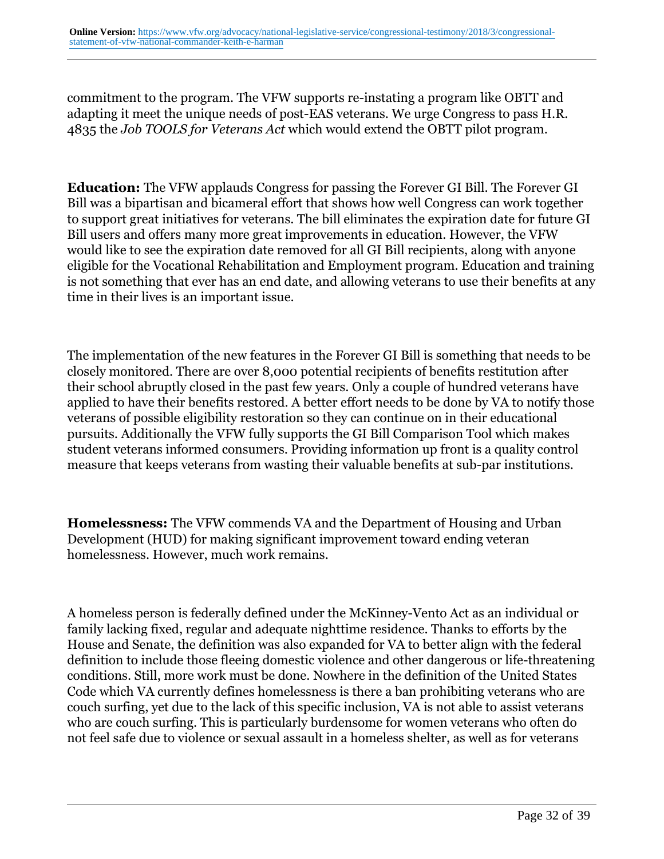commitment to the program. The VFW supports re-instating a program like OBTT and adapting it meet the unique needs of post-EAS veterans. We urge Congress to pass H.R. 4835 the *Job TOOLS for Veterans Act* which would extend the OBTT pilot program.

**Education:** The VFW applauds Congress for passing the Forever GI Bill. The Forever GI Bill was a bipartisan and bicameral effort that shows how well Congress can work together to support great initiatives for veterans. The bill eliminates the expiration date for future GI Bill users and offers many more great improvements in education. However, the VFW would like to see the expiration date removed for all GI Bill recipients, along with anyone eligible for the Vocational Rehabilitation and Employment program. Education and training is not something that ever has an end date, and allowing veterans to use their benefits at any time in their lives is an important issue.

The implementation of the new features in the Forever GI Bill is something that needs to be closely monitored. There are over 8,000 potential recipients of benefits restitution after their school abruptly closed in the past few years. Only a couple of hundred veterans have applied to have their benefits restored. A better effort needs to be done by VA to notify those veterans of possible eligibility restoration so they can continue on in their educational pursuits. Additionally the VFW fully supports the GI Bill Comparison Tool which makes student veterans informed consumers. Providing information up front is a quality control measure that keeps veterans from wasting their valuable benefits at sub-par institutions.

**Homelessness:** The VFW commends VA and the Department of Housing and Urban Development (HUD) for making significant improvement toward ending veteran homelessness. However, much work remains.

A homeless person is federally defined under the McKinney-Vento Act as an individual or family lacking fixed, regular and adequate nighttime residence. Thanks to efforts by the House and Senate, the definition was also expanded for VA to better align with the federal definition to include those fleeing domestic violence and other dangerous or life-threatening conditions. Still, more work must be done. Nowhere in the definition of the United States Code which VA currently defines homelessness is there a ban prohibiting veterans who are couch surfing, yet due to the lack of this specific inclusion, VA is not able to assist veterans who are couch surfing. This is particularly burdensome for women veterans who often do not feel safe due to violence or sexual assault in a homeless shelter, as well as for veterans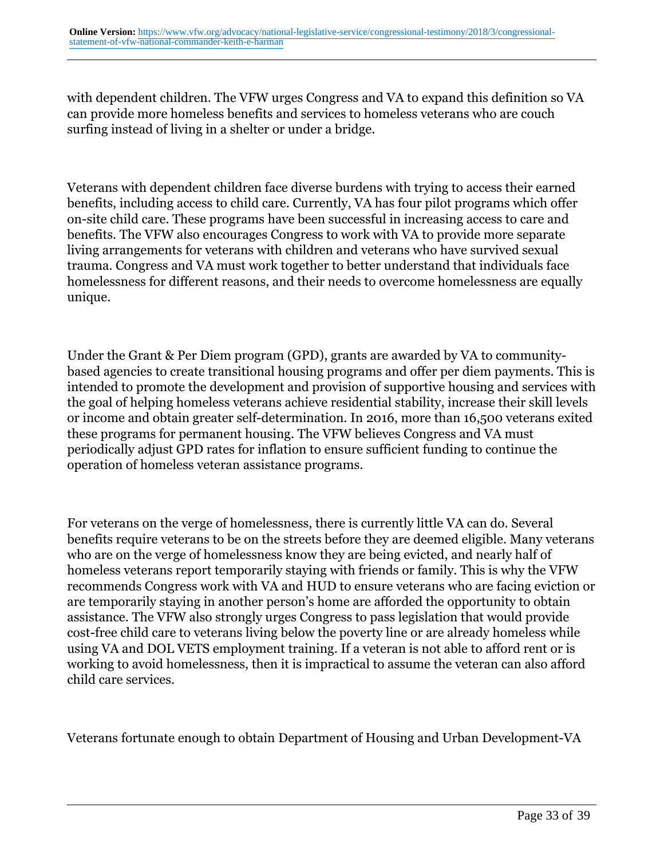with dependent children. The VFW urges Congress and VA to expand this definition so VA can provide more homeless benefits and services to homeless veterans who are couch surfing instead of living in a shelter or under a bridge.

Veterans with dependent children face diverse burdens with trying to access their earned benefits, including access to child care. Currently, VA has four pilot programs which offer on-site child care. These programs have been successful in increasing access to care and benefits. The VFW also encourages Congress to work with VA to provide more separate living arrangements for veterans with children and veterans who have survived sexual trauma. Congress and VA must work together to better understand that individuals face homelessness for different reasons, and their needs to overcome homelessness are equally unique.

Under the Grant & Per Diem program (GPD), grants are awarded by VA to communitybased agencies to create transitional housing programs and offer per diem payments. This is intended to promote the development and provision of supportive housing and services with the goal of helping homeless veterans achieve residential stability, increase their skill levels or income and obtain greater self-determination. In 2016, more than 16,500 veterans exited these programs for permanent housing. The VFW believes Congress and VA must periodically adjust GPD rates for inflation to ensure sufficient funding to continue the operation of homeless veteran assistance programs.

For veterans on the verge of homelessness, there is currently little VA can do. Several benefits require veterans to be on the streets before they are deemed eligible. Many veterans who are on the verge of homelessness know they are being evicted, and nearly half of homeless veterans report temporarily staying with friends or family. This is why the VFW recommends Congress work with VA and HUD to ensure veterans who are facing eviction or are temporarily staying in another person's home are afforded the opportunity to obtain assistance. The VFW also strongly urges Congress to pass legislation that would provide cost-free child care to veterans living below the poverty line or are already homeless while using VA and DOL VETS employment training. If a veteran is not able to afford rent or is working to avoid homelessness, then it is impractical to assume the veteran can also afford child care services.

Veterans fortunate enough to obtain Department of Housing and Urban Development-VA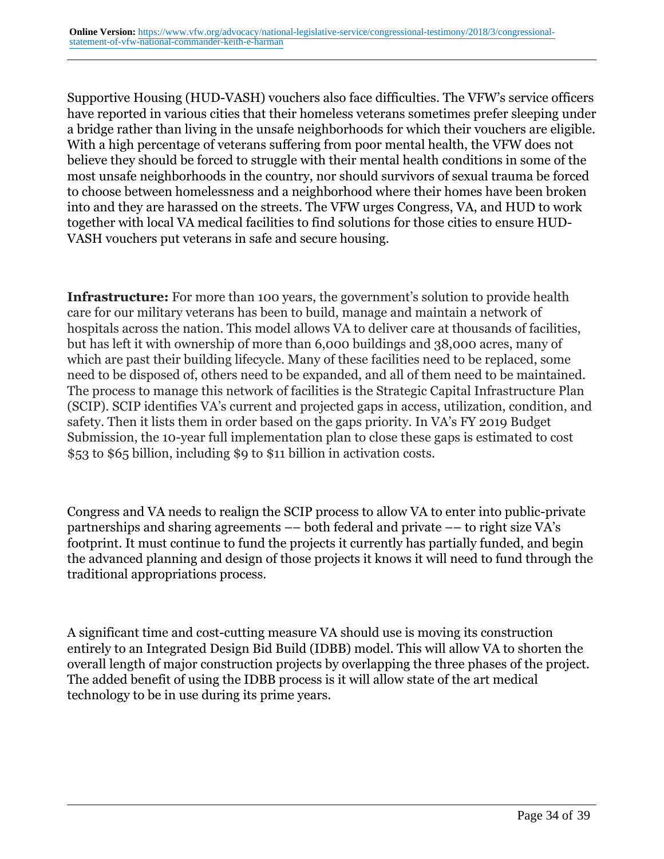Supportive Housing (HUD-VASH) vouchers also face difficulties. The VFW's service officers have reported in various cities that their homeless veterans sometimes prefer sleeping under a bridge rather than living in the unsafe neighborhoods for which their vouchers are eligible. With a high percentage of veterans suffering from poor mental health, the VFW does not believe they should be forced to struggle with their mental health conditions in some of the most unsafe neighborhoods in the country, nor should survivors of sexual trauma be forced to choose between homelessness and a neighborhood where their homes have been broken into and they are harassed on the streets. The VFW urges Congress, VA, and HUD to work together with local VA medical facilities to find solutions for those cities to ensure HUD-VASH vouchers put veterans in safe and secure housing.

**Infrastructure:** For more than 100 years, the government's solution to provide health care for our military veterans has been to build, manage and maintain a network of hospitals across the nation. This model allows VA to deliver care at thousands of facilities, but has left it with ownership of more than 6,000 buildings and 38,000 acres, many of which are past their building lifecycle. Many of these facilities need to be replaced, some need to be disposed of, others need to be expanded, and all of them need to be maintained. The process to manage this network of facilities is the Strategic Capital Infrastructure Plan (SCIP). SCIP identifies VA's current and projected gaps in access, utilization, condition, and safety. Then it lists them in order based on the gaps priority. In VA's FY 2019 Budget Submission, the 10-year full implementation plan to close these gaps is estimated to cost \$53 to \$65 billion, including \$9 to \$11 billion in activation costs.

Congress and VA needs to realign the SCIP process to allow VA to enter into public-private partnerships and sharing agreements –– both federal and private –– to right size VA's footprint. It must continue to fund the projects it currently has partially funded, and begin the advanced planning and design of those projects it knows it will need to fund through the traditional appropriations process.

A significant time and cost-cutting measure VA should use is moving its construction entirely to an Integrated Design Bid Build (IDBB) model. This will allow VA to shorten the overall length of major construction projects by overlapping the three phases of the project. The added benefit of using the IDBB process is it will allow state of the art medical technology to be in use during its prime years.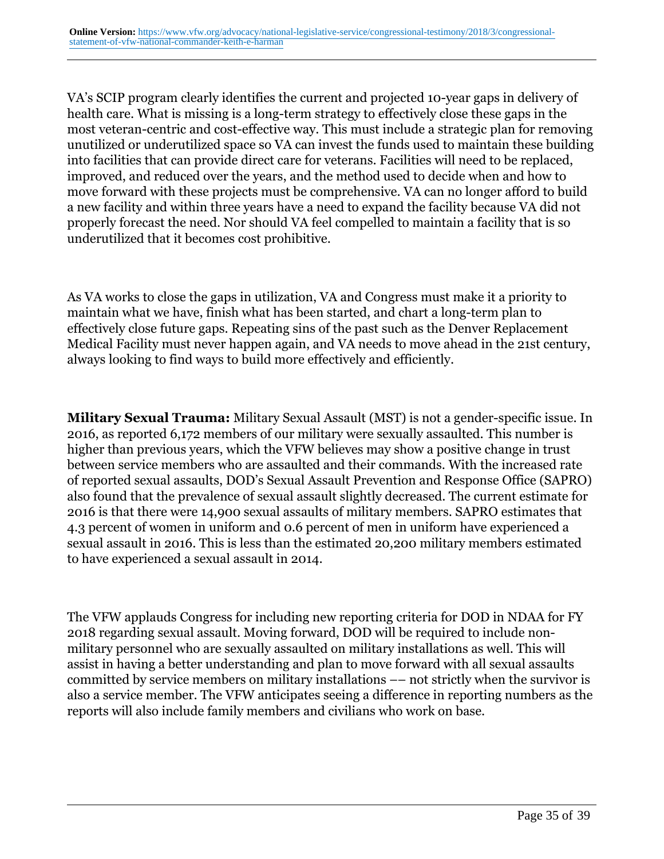VA's SCIP program clearly identifies the current and projected 10-year gaps in delivery of health care. What is missing is a long-term strategy to effectively close these gaps in the most veteran-centric and cost-effective way. This must include a strategic plan for removing unutilized or underutilized space so VA can invest the funds used to maintain these building into facilities that can provide direct care for veterans. Facilities will need to be replaced, improved, and reduced over the years, and the method used to decide when and how to move forward with these projects must be comprehensive. VA can no longer afford to build a new facility and within three years have a need to expand the facility because VA did not properly forecast the need. Nor should VA feel compelled to maintain a facility that is so underutilized that it becomes cost prohibitive.

As VA works to close the gaps in utilization, VA and Congress must make it a priority to maintain what we have, finish what has been started, and chart a long-term plan to effectively close future gaps. Repeating sins of the past such as the Denver Replacement Medical Facility must never happen again, and VA needs to move ahead in the 21st century, always looking to find ways to build more effectively and efficiently.

**Military Sexual Trauma:** Military Sexual Assault (MST) is not a gender-specific issue. In 2016, as reported 6,172 members of our military were sexually assaulted. This number is higher than previous years, which the VFW believes may show a positive change in trust between service members who are assaulted and their commands. With the increased rate of reported sexual assaults, DOD's Sexual Assault Prevention and Response Office (SAPRO) also found that the prevalence of sexual assault slightly decreased. The current estimate for 2016 is that there were 14,900 sexual assaults of military members. SAPRO estimates that 4.3 percent of women in uniform and 0.6 percent of men in uniform have experienced a sexual assault in 2016. This is less than the estimated 20,200 military members estimated to have experienced a sexual assault in 2014.

The VFW applauds Congress for including new reporting criteria for DOD in NDAA for FY 2018 regarding sexual assault. Moving forward, DOD will be required to include nonmilitary personnel who are sexually assaulted on military installations as well. This will assist in having a better understanding and plan to move forward with all sexual assaults committed by service members on military installations –– not strictly when the survivor is also a service member. The VFW anticipates seeing a difference in reporting numbers as the reports will also include family members and civilians who work on base.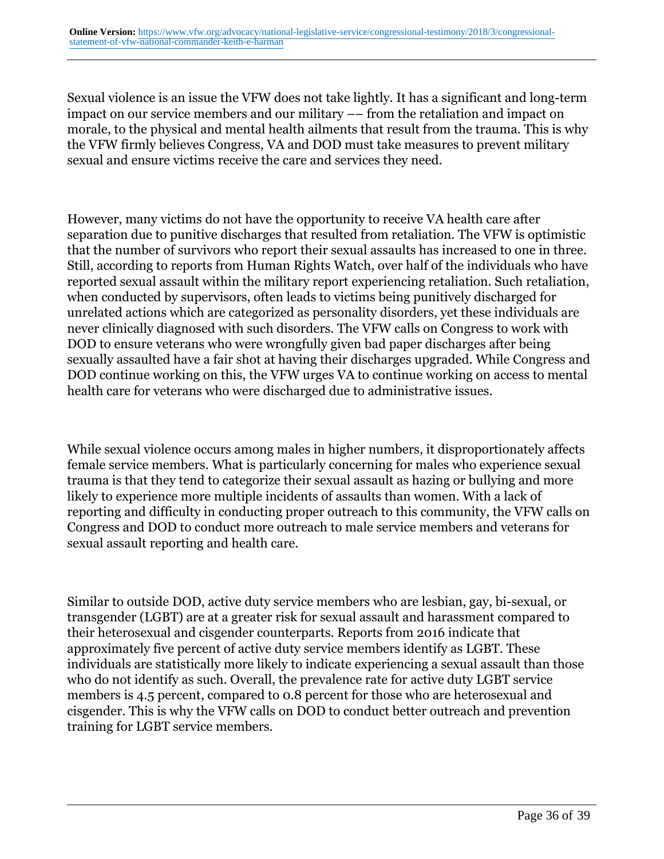Sexual violence is an issue the VFW does not take lightly. It has a significant and long-term impact on our service members and our military –– from the retaliation and impact on morale, to the physical and mental health ailments that result from the trauma. This is why the VFW firmly believes Congress, VA and DOD must take measures to prevent military sexual and ensure victims receive the care and services they need.

However, many victims do not have the opportunity to receive VA health care after separation due to punitive discharges that resulted from retaliation. The VFW is optimistic that the number of survivors who report their sexual assaults has increased to one in three. Still, according to reports from Human Rights Watch, over half of the individuals who have reported sexual assault within the military report experiencing retaliation. Such retaliation, when conducted by supervisors, often leads to victims being punitively discharged for unrelated actions which are categorized as personality disorders, yet these individuals are never clinically diagnosed with such disorders. The VFW calls on Congress to work with DOD to ensure veterans who were wrongfully given bad paper discharges after being sexually assaulted have a fair shot at having their discharges upgraded. While Congress and DOD continue working on this, the VFW urges VA to continue working on access to mental health care for veterans who were discharged due to administrative issues.

While sexual violence occurs among males in higher numbers, it disproportionately affects female service members. What is particularly concerning for males who experience sexual trauma is that they tend to categorize their sexual assault as hazing or bullying and more likely to experience more multiple incidents of assaults than women. With a lack of reporting and difficulty in conducting proper outreach to this community, the VFW calls on Congress and DOD to conduct more outreach to male service members and veterans for sexual assault reporting and health care.

Similar to outside DOD, active duty service members who are lesbian, gay, bi-sexual, or transgender (LGBT) are at a greater risk for sexual assault and harassment compared to their heterosexual and cisgender counterparts. Reports from 2016 indicate that approximately five percent of active duty service members identify as LGBT. These individuals are statistically more likely to indicate experiencing a sexual assault than those who do not identify as such. Overall, the prevalence rate for active duty LGBT service members is 4.5 percent, compared to 0.8 percent for those who are heterosexual and cisgender. This is why the VFW calls on DOD to conduct better outreach and prevention training for LGBT service members.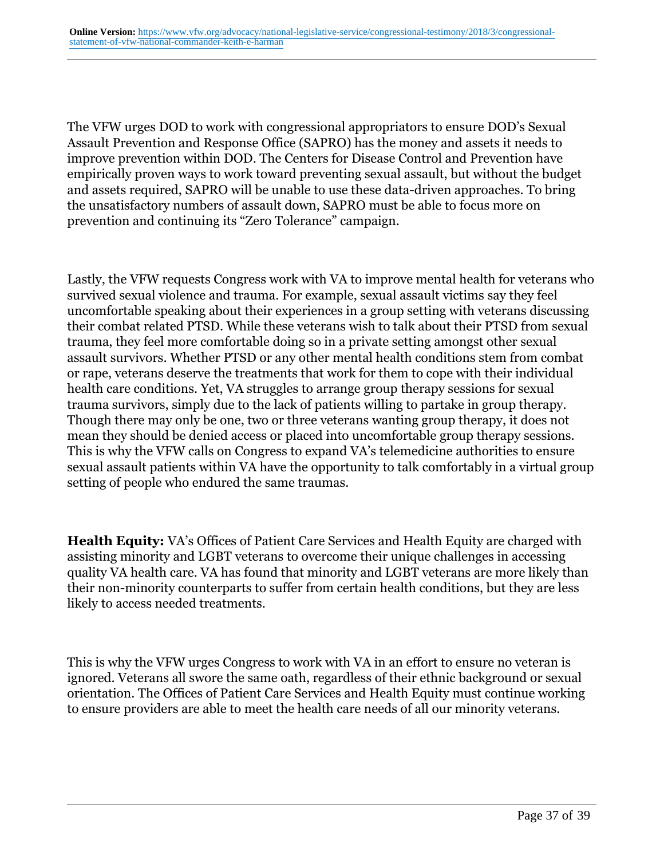The VFW urges DOD to work with congressional appropriators to ensure DOD's Sexual Assault Prevention and Response Office (SAPRO) has the money and assets it needs to improve prevention within DOD. The Centers for Disease Control and Prevention have empirically proven ways to work toward preventing sexual assault, but without the budget and assets required, SAPRO will be unable to use these data-driven approaches. To bring the unsatisfactory numbers of assault down, SAPRO must be able to focus more on prevention and continuing its "Zero Tolerance" campaign.

Lastly, the VFW requests Congress work with VA to improve mental health for veterans who survived sexual violence and trauma. For example, sexual assault victims say they feel uncomfortable speaking about their experiences in a group setting with veterans discussing their combat related PTSD. While these veterans wish to talk about their PTSD from sexual trauma, they feel more comfortable doing so in a private setting amongst other sexual assault survivors. Whether PTSD or any other mental health conditions stem from combat or rape, veterans deserve the treatments that work for them to cope with their individual health care conditions. Yet, VA struggles to arrange group therapy sessions for sexual trauma survivors, simply due to the lack of patients willing to partake in group therapy. Though there may only be one, two or three veterans wanting group therapy, it does not mean they should be denied access or placed into uncomfortable group therapy sessions. This is why the VFW calls on Congress to expand VA's telemedicine authorities to ensure sexual assault patients within VA have the opportunity to talk comfortably in a virtual group setting of people who endured the same traumas.

**Health Equity:** VA's Offices of Patient Care Services and Health Equity are charged with assisting minority and LGBT veterans to overcome their unique challenges in accessing quality VA health care. VA has found that minority and LGBT veterans are more likely than their non-minority counterparts to suffer from certain health conditions, but they are less likely to access needed treatments.

This is why the VFW urges Congress to work with VA in an effort to ensure no veteran is ignored. Veterans all swore the same oath, regardless of their ethnic background or sexual orientation. The Offices of Patient Care Services and Health Equity must continue working to ensure providers are able to meet the health care needs of all our minority veterans.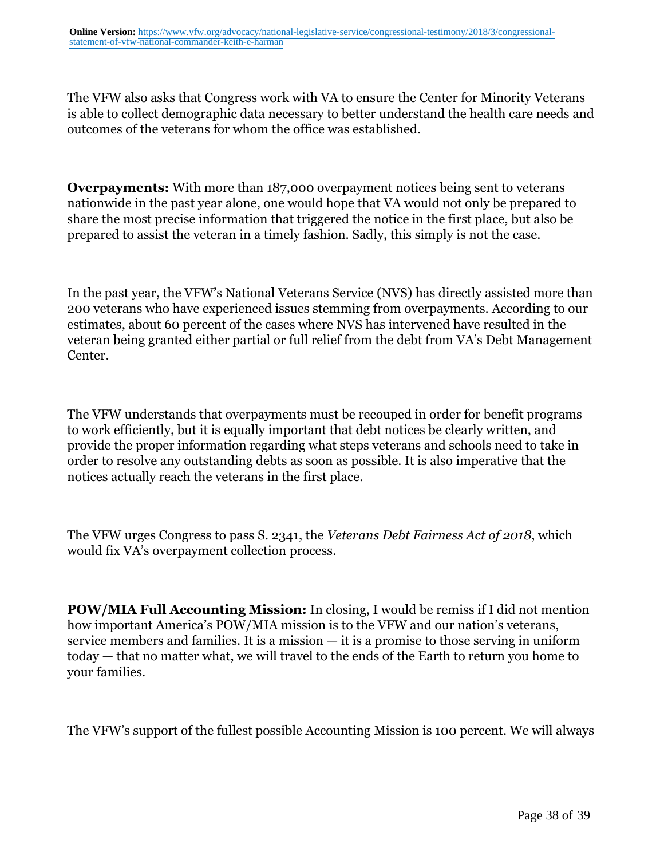The VFW also asks that Congress work with VA to ensure the Center for Minority Veterans is able to collect demographic data necessary to better understand the health care needs and outcomes of the veterans for whom the office was established.

**Overpayments:** With more than 187,000 overpayment notices being sent to veterans nationwide in the past year alone, one would hope that VA would not only be prepared to share the most precise information that triggered the notice in the first place, but also be prepared to assist the veteran in a timely fashion. Sadly, this simply is not the case.

In the past year, the VFW's National Veterans Service (NVS) has directly assisted more than 200 veterans who have experienced issues stemming from overpayments. According to our estimates, about 60 percent of the cases where NVS has intervened have resulted in the veteran being granted either partial or full relief from the debt from VA's Debt Management Center.

The VFW understands that overpayments must be recouped in order for benefit programs to work efficiently, but it is equally important that debt notices be clearly written, and provide the proper information regarding what steps veterans and schools need to take in order to resolve any outstanding debts as soon as possible. It is also imperative that the notices actually reach the veterans in the first place.

The VFW urges Congress to pass S. 2341, the *Veterans Debt Fairness Act of 2018*, which would fix VA's overpayment collection process.

**POW/MIA Full Accounting Mission:** In closing, I would be remiss if I did not mention how important America's POW/MIA mission is to the VFW and our nation's veterans, service members and families. It is a mission — it is a promise to those serving in uniform today — that no matter what, we will travel to the ends of the Earth to return you home to your families.

The VFW's support of the fullest possible Accounting Mission is 100 percent. We will always